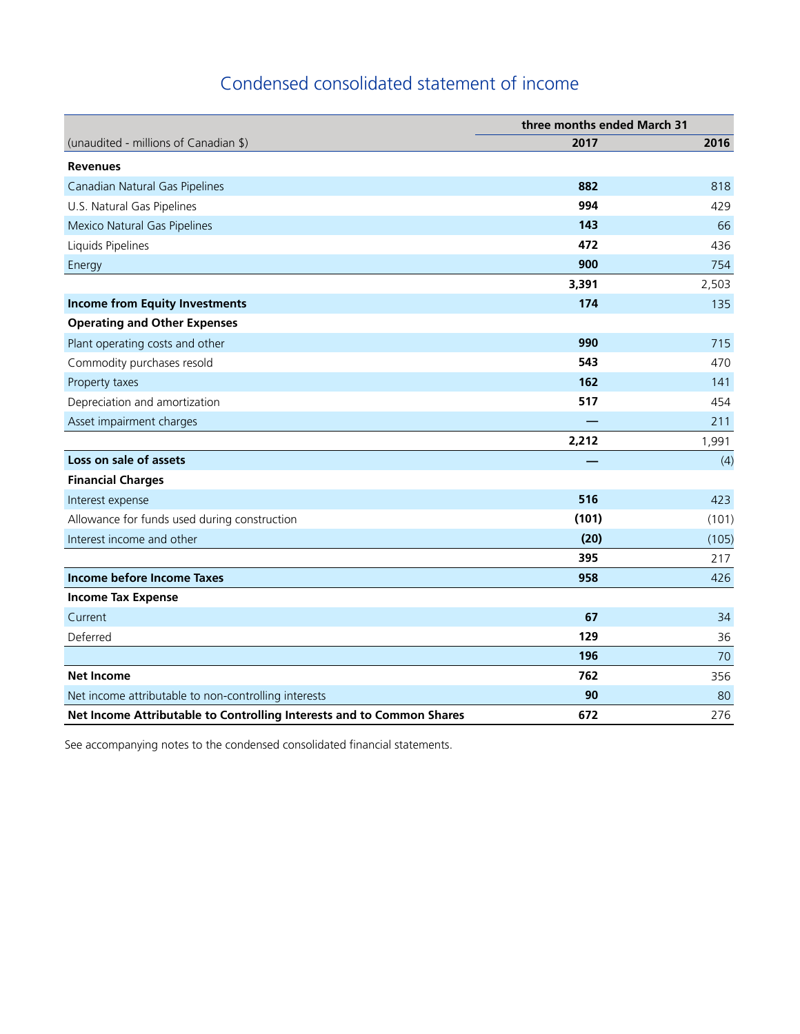# Condensed consolidated statement of income

|                                                                       | three months ended March 31 |       |  |
|-----------------------------------------------------------------------|-----------------------------|-------|--|
| (unaudited - millions of Canadian \$)                                 | 2017                        | 2016  |  |
| <b>Revenues</b>                                                       |                             |       |  |
| Canadian Natural Gas Pipelines                                        | 882                         | 818   |  |
| U.S. Natural Gas Pipelines                                            | 994                         | 429   |  |
| Mexico Natural Gas Pipelines                                          | 143                         | 66    |  |
| Liquids Pipelines                                                     | 472                         | 436   |  |
| Energy                                                                | 900                         | 754   |  |
|                                                                       | 3,391                       | 2,503 |  |
| <b>Income from Equity Investments</b>                                 | 174                         | 135   |  |
| <b>Operating and Other Expenses</b>                                   |                             |       |  |
| Plant operating costs and other                                       | 990                         | 715   |  |
| Commodity purchases resold                                            | 543                         | 470   |  |
| Property taxes                                                        | 162                         | 141   |  |
| Depreciation and amortization                                         | 517                         | 454   |  |
| Asset impairment charges                                              |                             | 211   |  |
|                                                                       | 2,212                       | 1,991 |  |
| Loss on sale of assets                                                |                             | (4)   |  |
| <b>Financial Charges</b>                                              |                             |       |  |
| Interest expense                                                      | 516                         | 423   |  |
| Allowance for funds used during construction                          | (101)                       | (101) |  |
| Interest income and other                                             | (20)                        | (105) |  |
|                                                                       | 395                         | 217   |  |
| Income before Income Taxes                                            | 958                         | 426   |  |
| <b>Income Tax Expense</b>                                             |                             |       |  |
| Current                                                               | 67                          | 34    |  |
| Deferred                                                              | 129                         | 36    |  |
|                                                                       | 196                         | 70    |  |
| <b>Net Income</b>                                                     | 762                         | 356   |  |
| Net income attributable to non-controlling interests                  | 90                          | 80    |  |
| Net Income Attributable to Controlling Interests and to Common Shares | 672                         | 276   |  |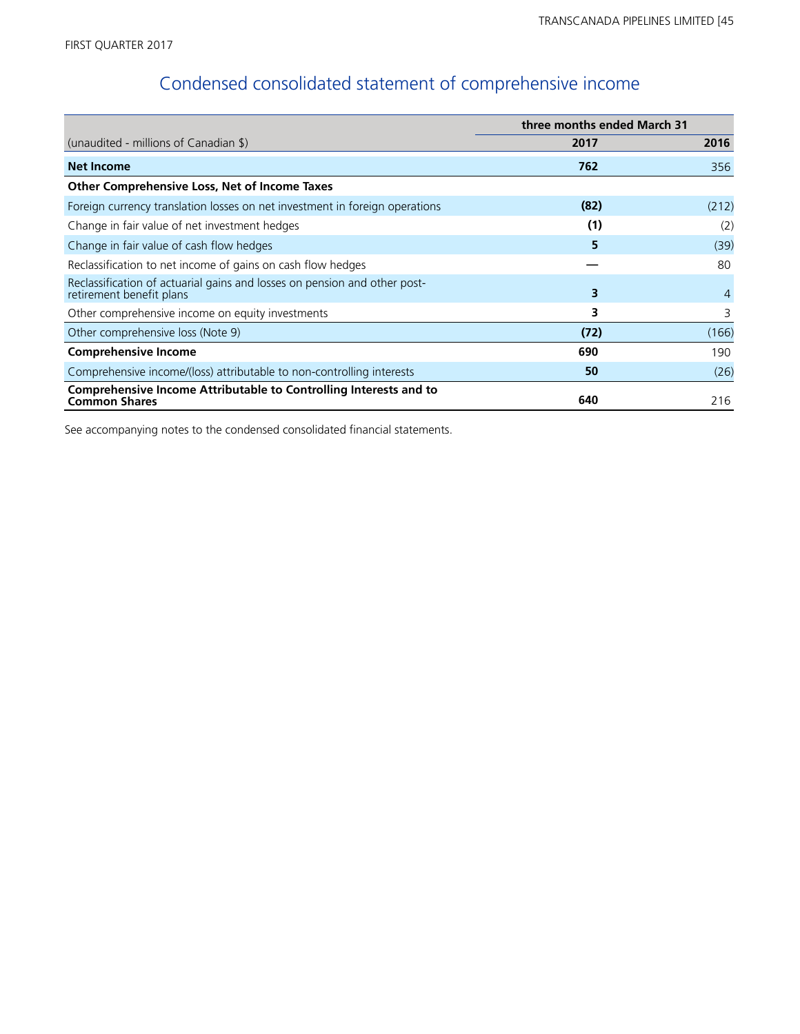# Condensed consolidated statement of comprehensive income

|                                                                                                       | three months ended March 31 |       |
|-------------------------------------------------------------------------------------------------------|-----------------------------|-------|
| (unaudited - millions of Canadian \$)                                                                 | 2017                        | 2016  |
| <b>Net Income</b>                                                                                     | 762                         | 356   |
| Other Comprehensive Loss, Net of Income Taxes                                                         |                             |       |
| Foreign currency translation losses on net investment in foreign operations                           | (82)                        | (212) |
| Change in fair value of net investment hedges                                                         | (1)                         | (2)   |
| Change in fair value of cash flow hedges                                                              | 5                           | (39)  |
| Reclassification to net income of gains on cash flow hedges                                           |                             | 80    |
| Reclassification of actuarial gains and losses on pension and other post-<br>retirement benefit plans | 3                           | 4     |
| Other comprehensive income on equity investments                                                      | 3                           | 3     |
| Other comprehensive loss (Note 9)                                                                     | (72)                        | (166) |
| <b>Comprehensive Income</b>                                                                           | 690                         | 190   |
| Comprehensive income/(loss) attributable to non-controlling interests                                 | 50                          | (26)  |
| Comprehensive Income Attributable to Controlling Interests and to<br><b>Common Shares</b>             | 640                         | 216   |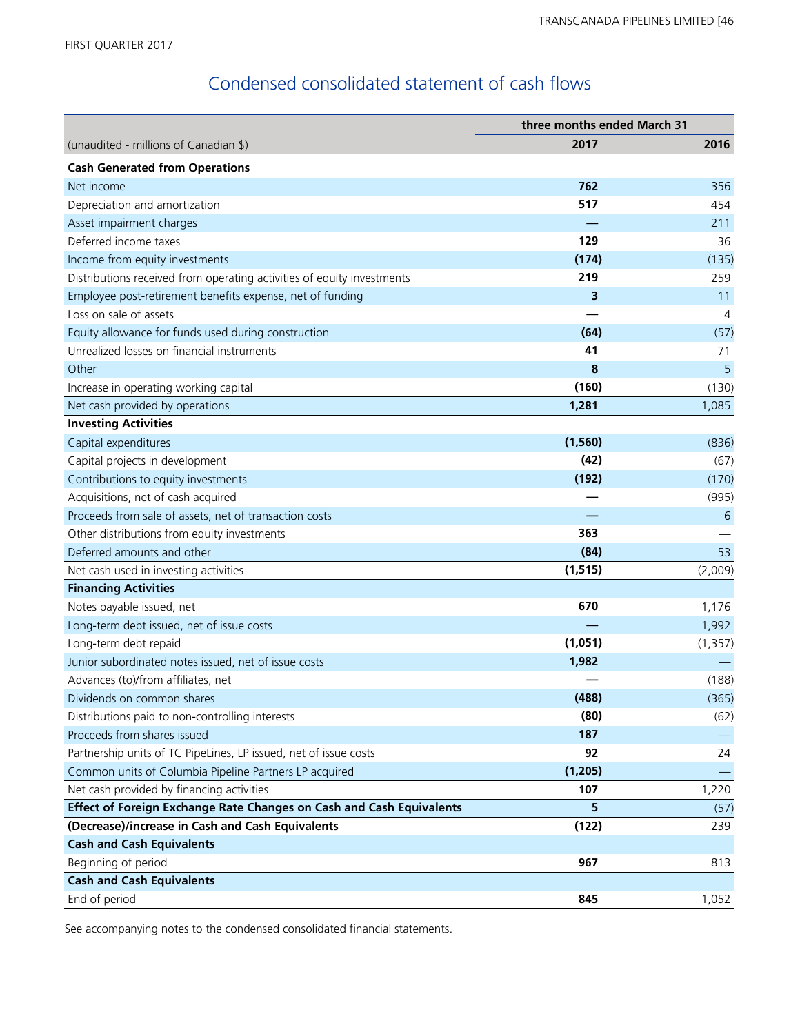## Condensed consolidated statement of cash flows

|                                                                        | three months ended March 31 |                 |  |
|------------------------------------------------------------------------|-----------------------------|-----------------|--|
| (unaudited - millions of Canadian \$)                                  | 2017                        | 2016            |  |
| <b>Cash Generated from Operations</b>                                  |                             |                 |  |
| Net income                                                             | 762                         | 356             |  |
| Depreciation and amortization                                          | 517                         | 454             |  |
| Asset impairment charges                                               |                             | 211             |  |
| Deferred income taxes                                                  | 129                         | 36              |  |
| Income from equity investments                                         | (174)                       | (135)           |  |
| Distributions received from operating activities of equity investments | 219                         | 259             |  |
| Employee post-retirement benefits expense, net of funding              | 3                           | 11              |  |
| Loss on sale of assets                                                 |                             | $\overline{4}$  |  |
| Equity allowance for funds used during construction                    | (64)                        | (57)            |  |
| Unrealized losses on financial instruments                             | 41                          | 71              |  |
| Other                                                                  | 8                           | 5               |  |
| Increase in operating working capital                                  | (160)                       | (130)           |  |
| Net cash provided by operations                                        | 1,281                       | 1,085           |  |
| <b>Investing Activities</b>                                            |                             |                 |  |
| Capital expenditures                                                   | (1, 560)                    | (836)           |  |
| Capital projects in development                                        | (42)                        | (67)            |  |
| Contributions to equity investments                                    | (192)                       | (170)           |  |
| Acquisitions, net of cash acquired                                     |                             | (995)           |  |
| Proceeds from sale of assets, net of transaction costs                 |                             | $6\phantom{1}6$ |  |
| Other distributions from equity investments                            | 363                         |                 |  |
| Deferred amounts and other                                             | (84)                        | 53              |  |
| Net cash used in investing activities                                  | (1, 515)                    | (2,009)         |  |
| <b>Financing Activities</b>                                            |                             |                 |  |
| Notes payable issued, net                                              | 670                         | 1,176           |  |
| Long-term debt issued, net of issue costs                              |                             | 1,992           |  |
| Long-term debt repaid                                                  | (1,051)                     | (1, 357)        |  |
| Junior subordinated notes issued, net of issue costs                   | 1,982                       |                 |  |
| Advances (to)/from affiliates, net                                     |                             | (188)           |  |
| Dividends on common shares                                             | (488)                       | (365)           |  |
| Distributions paid to non-controlling interests                        | (80)                        | (62)            |  |
| Proceeds from shares issued                                            | 187                         |                 |  |
| Partnership units of TC PipeLines, LP issued, net of issue costs       | 92                          | 24              |  |
| Common units of Columbia Pipeline Partners LP acquired                 | (1, 205)                    |                 |  |
| Net cash provided by financing activities                              | 107                         | 1,220           |  |
| Effect of Foreign Exchange Rate Changes on Cash and Cash Equivalents   | 5                           | (57)            |  |
| (Decrease)/increase in Cash and Cash Equivalents                       | (122)                       | 239             |  |
| <b>Cash and Cash Equivalents</b>                                       |                             |                 |  |
| Beginning of period                                                    | 967                         | 813             |  |
| <b>Cash and Cash Equivalents</b>                                       |                             |                 |  |
| End of period                                                          | 845                         | 1,052           |  |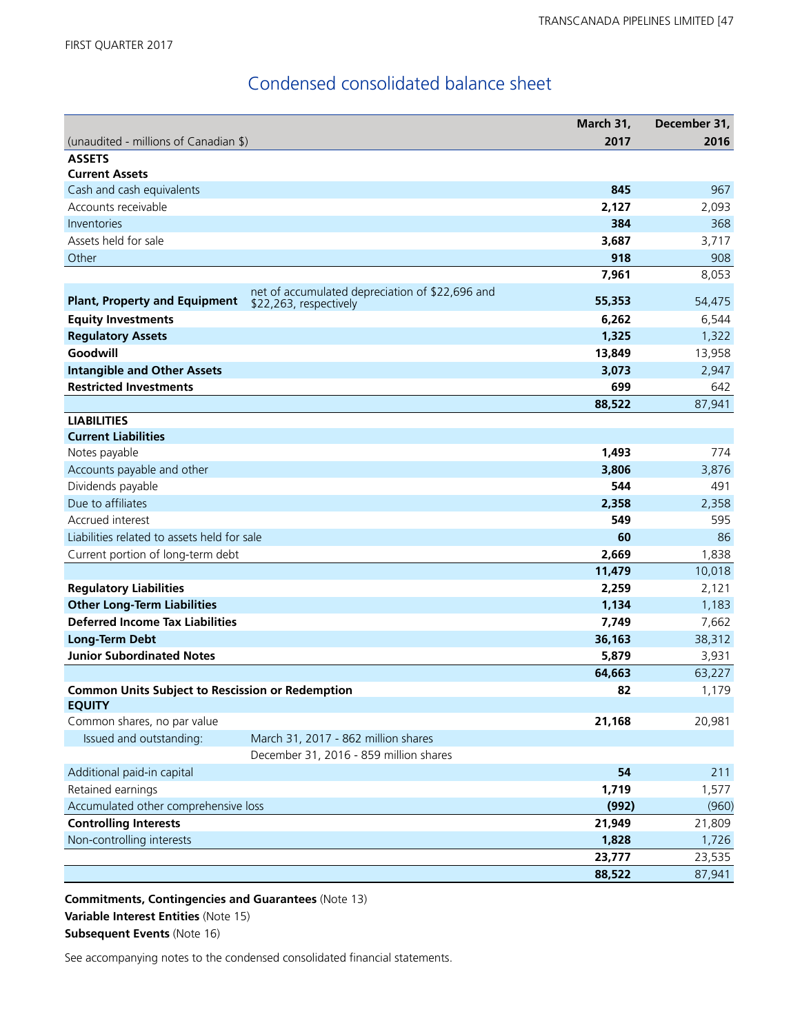## Condensed consolidated balance sheet

|                                                         |                                                                           | March 31, | December 31, |
|---------------------------------------------------------|---------------------------------------------------------------------------|-----------|--------------|
| (unaudited - millions of Canadian \$)                   |                                                                           | 2017      | 2016         |
| <b>ASSETS</b>                                           |                                                                           |           |              |
| <b>Current Assets</b>                                   |                                                                           |           |              |
| Cash and cash equivalents                               |                                                                           | 845       | 967          |
| Accounts receivable                                     |                                                                           | 2,127     | 2,093        |
| Inventories                                             |                                                                           | 384       | 368          |
| Assets held for sale                                    |                                                                           | 3,687     | 3,717        |
| Other                                                   |                                                                           | 918       | 908          |
|                                                         |                                                                           | 7,961     | 8,053        |
| <b>Plant, Property and Equipment</b>                    | net of accumulated depreciation of \$22,696 and<br>\$22,263, respectively | 55,353    | 54,475       |
| <b>Equity Investments</b>                               |                                                                           | 6,262     | 6,544        |
| <b>Regulatory Assets</b>                                |                                                                           | 1,325     | 1,322        |
| Goodwill                                                |                                                                           | 13,849    | 13,958       |
| <b>Intangible and Other Assets</b>                      |                                                                           | 3,073     | 2,947        |
| <b>Restricted Investments</b>                           |                                                                           | 699       | 642          |
|                                                         |                                                                           | 88,522    | 87,941       |
| <b>LIABILITIES</b>                                      |                                                                           |           |              |
| <b>Current Liabilities</b>                              |                                                                           |           |              |
| Notes payable                                           |                                                                           | 1,493     | 774          |
| Accounts payable and other                              |                                                                           | 3,806     | 3,876        |
| Dividends payable                                       |                                                                           | 544       | 491          |
| Due to affiliates                                       |                                                                           | 2,358     | 2,358        |
| Accrued interest                                        |                                                                           | 549       | 595          |
| Liabilities related to assets held for sale             |                                                                           | 60        | 86           |
| Current portion of long-term debt                       |                                                                           | 2,669     | 1,838        |
|                                                         |                                                                           | 11,479    | 10,018       |
| <b>Regulatory Liabilities</b>                           |                                                                           | 2,259     | 2,121        |
| <b>Other Long-Term Liabilities</b>                      |                                                                           | 1,134     | 1,183        |
| <b>Deferred Income Tax Liabilities</b>                  |                                                                           | 7,749     | 7,662        |
| <b>Long-Term Debt</b>                                   |                                                                           | 36,163    | 38,312       |
| <b>Junior Subordinated Notes</b>                        |                                                                           | 5,879     | 3,931        |
|                                                         |                                                                           | 64,663    | 63,227       |
| <b>Common Units Subject to Rescission or Redemption</b> |                                                                           | 82        | 1,179        |
| <b>EQUITY</b>                                           |                                                                           |           |              |
| Common shares, no par value                             |                                                                           | 21,168    | 20,981       |
| Issued and outstanding:                                 | March 31, 2017 - 862 million shares                                       |           |              |
|                                                         | December 31, 2016 - 859 million shares                                    |           |              |
| Additional paid-in capital                              |                                                                           | 54        | 211          |
| Retained earnings                                       |                                                                           | 1,719     | 1,577        |
| Accumulated other comprehensive loss                    |                                                                           | (992)     | (960)        |
| <b>Controlling Interests</b>                            |                                                                           | 21,949    | 21,809       |
| Non-controlling interests                               |                                                                           | 1,828     | 1,726        |
|                                                         |                                                                           | 23,777    | 23,535       |
|                                                         |                                                                           | 88,522    | 87,941       |

**Commitments, Contingencies and Guarantees** (Note 13) **Variable Interest Entities** (Note 15) **Subsequent Events** (Note 16)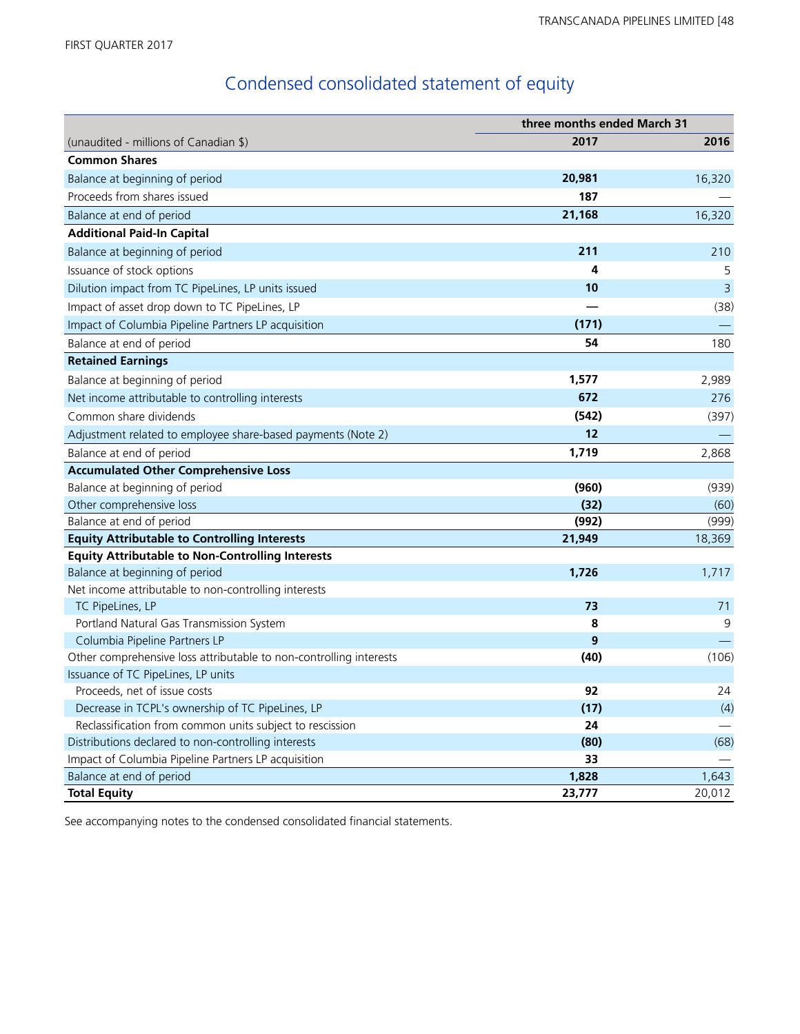# Condensed consolidated statement of equity

|                                                                    | three months ended March 31 |        |
|--------------------------------------------------------------------|-----------------------------|--------|
| (unaudited - millions of Canadian \$)                              | 2017                        | 2016   |
| <b>Common Shares</b>                                               |                             |        |
| Balance at beginning of period                                     | 20,981                      | 16,320 |
| Proceeds from shares issued                                        | 187                         |        |
| Balance at end of period                                           | 21,168                      | 16,320 |
| <b>Additional Paid-In Capital</b>                                  |                             |        |
| Balance at beginning of period                                     | 211                         | 210    |
| Issuance of stock options                                          | 4                           | 5      |
| Dilution impact from TC PipeLines, LP units issued                 | 10                          | 3      |
| Impact of asset drop down to TC PipeLines, LP                      |                             | (38)   |
| Impact of Columbia Pipeline Partners LP acquisition                | (171)                       |        |
| Balance at end of period                                           | 54                          | 180    |
| <b>Retained Earnings</b>                                           |                             |        |
| Balance at beginning of period                                     | 1,577                       | 2,989  |
| Net income attributable to controlling interests                   | 672                         | 276    |
| Common share dividends                                             | (542)                       | (397)  |
| Adjustment related to employee share-based payments (Note 2)       | 12                          |        |
| Balance at end of period                                           | 1,719                       | 2,868  |
| <b>Accumulated Other Comprehensive Loss</b>                        |                             |        |
| Balance at beginning of period                                     | (960)                       | (939)  |
| Other comprehensive loss                                           | (32)                        | (60)   |
| Balance at end of period                                           | (992)                       | (999)  |
| <b>Equity Attributable to Controlling Interests</b>                | 21,949                      | 18,369 |
| <b>Equity Attributable to Non-Controlling Interests</b>            |                             |        |
| Balance at beginning of period                                     | 1,726                       | 1,717  |
| Net income attributable to non-controlling interests               |                             |        |
| TC PipeLines, LP                                                   | 73                          | 71     |
| Portland Natural Gas Transmission System                           | 8                           | 9      |
| Columbia Pipeline Partners LP                                      | 9                           |        |
| Other comprehensive loss attributable to non-controlling interests | (40)                        | (106)  |
| Issuance of TC PipeLines, LP units                                 |                             |        |
| Proceeds, net of issue costs                                       | 92                          | 24     |
| Decrease in TCPL's ownership of TC PipeLines, LP                   | (17)                        | (4)    |
| Reclassification from common units subject to rescission           | 24                          |        |
| Distributions declared to non-controlling interests                | (80)                        | (68)   |
| Impact of Columbia Pipeline Partners LP acquisition                | 33                          |        |
| Balance at end of period                                           | 1,828                       | 1,643  |
| <b>Total Equity</b>                                                | 23,777                      | 20,012 |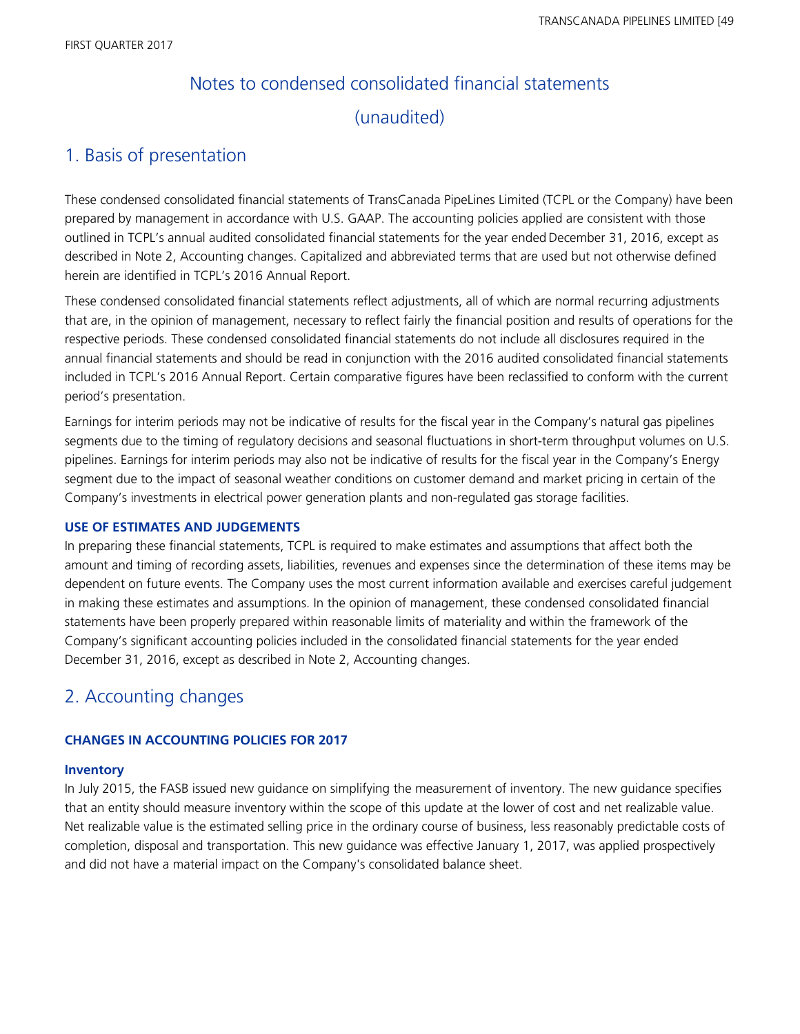# Notes to condensed consolidated financial statements (unaudited)

### 1. Basis of presentation

These condensed consolidated financial statements of TransCanada PipeLines Limited (TCPL or the Company) have been prepared by management in accordance with U.S. GAAP. The accounting policies applied are consistent with those outlined in TCPL's annual audited consolidated financial statements for the year ended December 31, 2016, except as described in Note 2, Accounting changes. Capitalized and abbreviated terms that are used but not otherwise defined herein are identified in TCPL's 2016 Annual Report.

These condensed consolidated financial statements reflect adjustments, all of which are normal recurring adjustments that are, in the opinion of management, necessary to reflect fairly the financial position and results of operations for the respective periods. These condensed consolidated financial statements do not include all disclosures required in the annual financial statements and should be read in conjunction with the 2016 audited consolidated financial statements included in TCPL's 2016 Annual Report. Certain comparative figures have been reclassified to conform with the current period's presentation.

Earnings for interim periods may not be indicative of results for the fiscal year in the Company's natural gas pipelines segments due to the timing of regulatory decisions and seasonal fluctuations in short-term throughput volumes on U.S. pipelines. Earnings for interim periods may also not be indicative of results for the fiscal year in the Company's Energy segment due to the impact of seasonal weather conditions on customer demand and market pricing in certain of the Company's investments in electrical power generation plants and non-regulated gas storage facilities.

### **USE OF ESTIMATES AND JUDGEMENTS**

In preparing these financial statements, TCPL is required to make estimates and assumptions that affect both the amount and timing of recording assets, liabilities, revenues and expenses since the determination of these items may be dependent on future events. The Company uses the most current information available and exercises careful judgement in making these estimates and assumptions. In the opinion of management, these condensed consolidated financial statements have been properly prepared within reasonable limits of materiality and within the framework of the Company's significant accounting policies included in the consolidated financial statements for the year ended December 31, 2016, except as described in Note 2, Accounting changes.

### 2. Accounting changes

### **CHANGES IN ACCOUNTING POLICIES FOR 2017**

### **Inventory**

In July 2015, the FASB issued new guidance on simplifying the measurement of inventory. The new guidance specifies that an entity should measure inventory within the scope of this update at the lower of cost and net realizable value. Net realizable value is the estimated selling price in the ordinary course of business, less reasonably predictable costs of completion, disposal and transportation. This new guidance was effective January 1, 2017, was applied prospectively and did not have a material impact on the Company's consolidated balance sheet.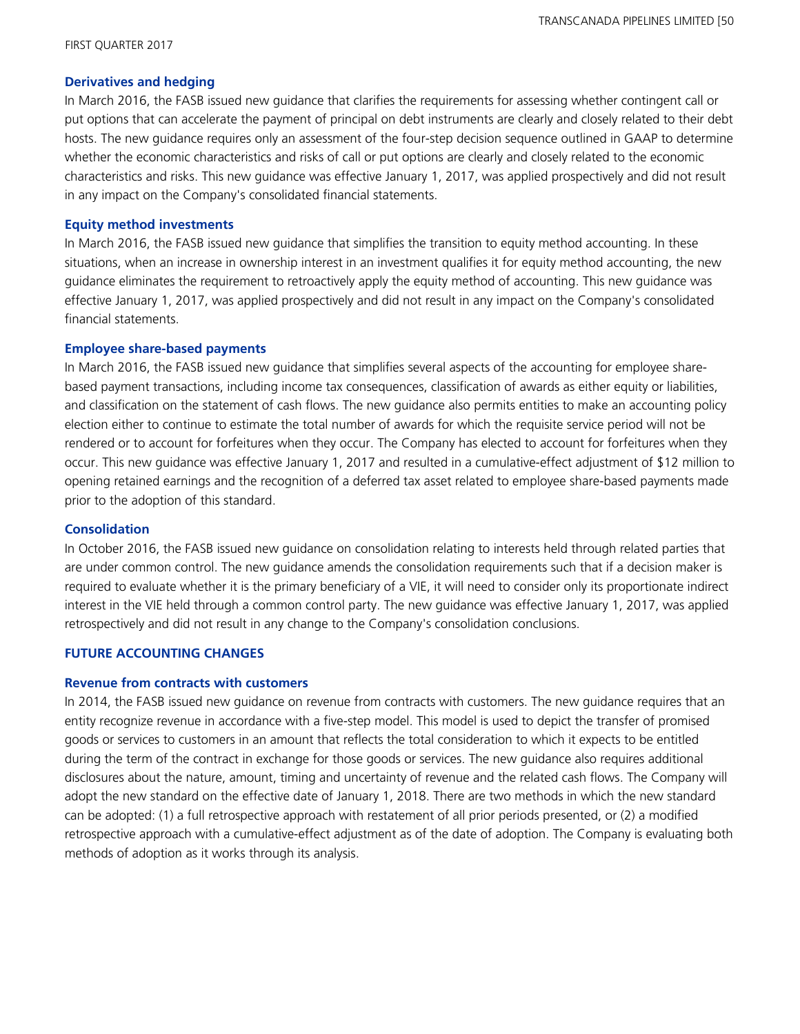### **Derivatives and hedging**

In March 2016, the FASB issued new guidance that clarifies the requirements for assessing whether contingent call or put options that can accelerate the payment of principal on debt instruments are clearly and closely related to their debt hosts. The new guidance requires only an assessment of the four-step decision sequence outlined in GAAP to determine whether the economic characteristics and risks of call or put options are clearly and closely related to the economic characteristics and risks. This new guidance was effective January 1, 2017, was applied prospectively and did not result in any impact on the Company's consolidated financial statements.

### **Equity method investments**

In March 2016, the FASB issued new guidance that simplifies the transition to equity method accounting. In these situations, when an increase in ownership interest in an investment qualifies it for equity method accounting, the new guidance eliminates the requirement to retroactively apply the equity method of accounting. This new guidance was effective January 1, 2017, was applied prospectively and did not result in any impact on the Company's consolidated financial statements.

#### **Employee share-based payments**

In March 2016, the FASB issued new guidance that simplifies several aspects of the accounting for employee sharebased payment transactions, including income tax consequences, classification of awards as either equity or liabilities, and classification on the statement of cash flows. The new guidance also permits entities to make an accounting policy election either to continue to estimate the total number of awards for which the requisite service period will not be rendered or to account for forfeitures when they occur. The Company has elected to account for forfeitures when they occur. This new guidance was effective January 1, 2017 and resulted in a cumulative-effect adjustment of \$12 million to opening retained earnings and the recognition of a deferred tax asset related to employee share-based payments made prior to the adoption of this standard.

#### **Consolidation**

In October 2016, the FASB issued new guidance on consolidation relating to interests held through related parties that are under common control. The new guidance amends the consolidation requirements such that if a decision maker is required to evaluate whether it is the primary beneficiary of a VIE, it will need to consider only its proportionate indirect interest in the VIE held through a common control party. The new guidance was effective January 1, 2017, was applied retrospectively and did not result in any change to the Company's consolidation conclusions.

### **FUTURE ACCOUNTING CHANGES**

#### **Revenue from contracts with customers**

In 2014, the FASB issued new guidance on revenue from contracts with customers. The new guidance requires that an entity recognize revenue in accordance with a five-step model. This model is used to depict the transfer of promised goods or services to customers in an amount that reflects the total consideration to which it expects to be entitled during the term of the contract in exchange for those goods or services. The new guidance also requires additional disclosures about the nature, amount, timing and uncertainty of revenue and the related cash flows. The Company will adopt the new standard on the effective date of January 1, 2018. There are two methods in which the new standard can be adopted: (1) a full retrospective approach with restatement of all prior periods presented, or (2) a modified retrospective approach with a cumulative-effect adjustment as of the date of adoption. The Company is evaluating both methods of adoption as it works through its analysis.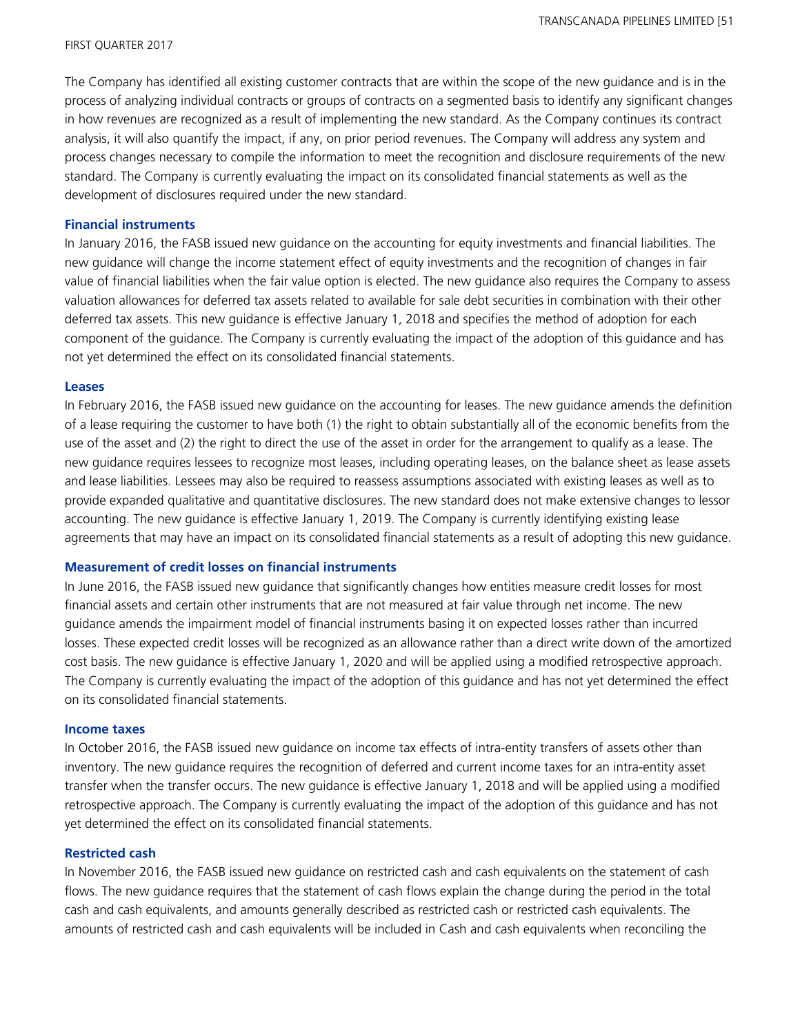The Company has identified all existing customer contracts that are within the scope of the new guidance and is in the process of analyzing individual contracts or groups of contracts on a segmented basis to identify any significant changes in how revenues are recognized as a result of implementing the new standard. As the Company continues its contract analysis, it will also quantify the impact, if any, on prior period revenues. The Company will address any system and process changes necessary to compile the information to meet the recognition and disclosure requirements of the new standard. The Company is currently evaluating the impact on its consolidated financial statements as well as the development of disclosures required under the new standard.

#### **Financial instruments**

In January 2016, the FASB issued new guidance on the accounting for equity investments and financial liabilities. The new guidance will change the income statement effect of equity investments and the recognition of changes in fair value of financial liabilities when the fair value option is elected. The new guidance also requires the Company to assess valuation allowances for deferred tax assets related to available for sale debt securities in combination with their other deferred tax assets. This new guidance is effective January 1, 2018 and specifies the method of adoption for each component of the guidance. The Company is currently evaluating the impact of the adoption of this guidance and has not yet determined the effect on its consolidated financial statements.

#### **Leases**

In February 2016, the FASB issued new guidance on the accounting for leases. The new guidance amends the definition of a lease requiring the customer to have both (1) the right to obtain substantially all of the economic benefits from the use of the asset and (2) the right to direct the use of the asset in order for the arrangement to qualify as a lease. The new guidance requires lessees to recognize most leases, including operating leases, on the balance sheet as lease assets and lease liabilities. Lessees may also be required to reassess assumptions associated with existing leases as well as to provide expanded qualitative and quantitative disclosures. The new standard does not make extensive changes to lessor accounting. The new guidance is effective January 1, 2019. The Company is currently identifying existing lease agreements that may have an impact on its consolidated financial statements as a result of adopting this new guidance.

#### **Measurement of credit losses on financial instruments**

In June 2016, the FASB issued new guidance that significantly changes how entities measure credit losses for most financial assets and certain other instruments that are not measured at fair value through net income. The new guidance amends the impairment model of financial instruments basing it on expected losses rather than incurred losses. These expected credit losses will be recognized as an allowance rather than a direct write down of the amortized cost basis. The new guidance is effective January 1, 2020 and will be applied using a modified retrospective approach. The Company is currently evaluating the impact of the adoption of this guidance and has not yet determined the effect on its consolidated financial statements.

#### **Income taxes**

In October 2016, the FASB issued new guidance on income tax effects of intra-entity transfers of assets other than inventory. The new guidance requires the recognition of deferred and current income taxes for an intra-entity asset transfer when the transfer occurs. The new guidance is effective January 1, 2018 and will be applied using a modified retrospective approach. The Company is currently evaluating the impact of the adoption of this guidance and has not yet determined the effect on its consolidated financial statements.

#### **Restricted cash**

In November 2016, the FASB issued new guidance on restricted cash and cash equivalents on the statement of cash flows. The new guidance requires that the statement of cash flows explain the change during the period in the total cash and cash equivalents, and amounts generally described as restricted cash or restricted cash equivalents. The amounts of restricted cash and cash equivalents will be included in Cash and cash equivalents when reconciling the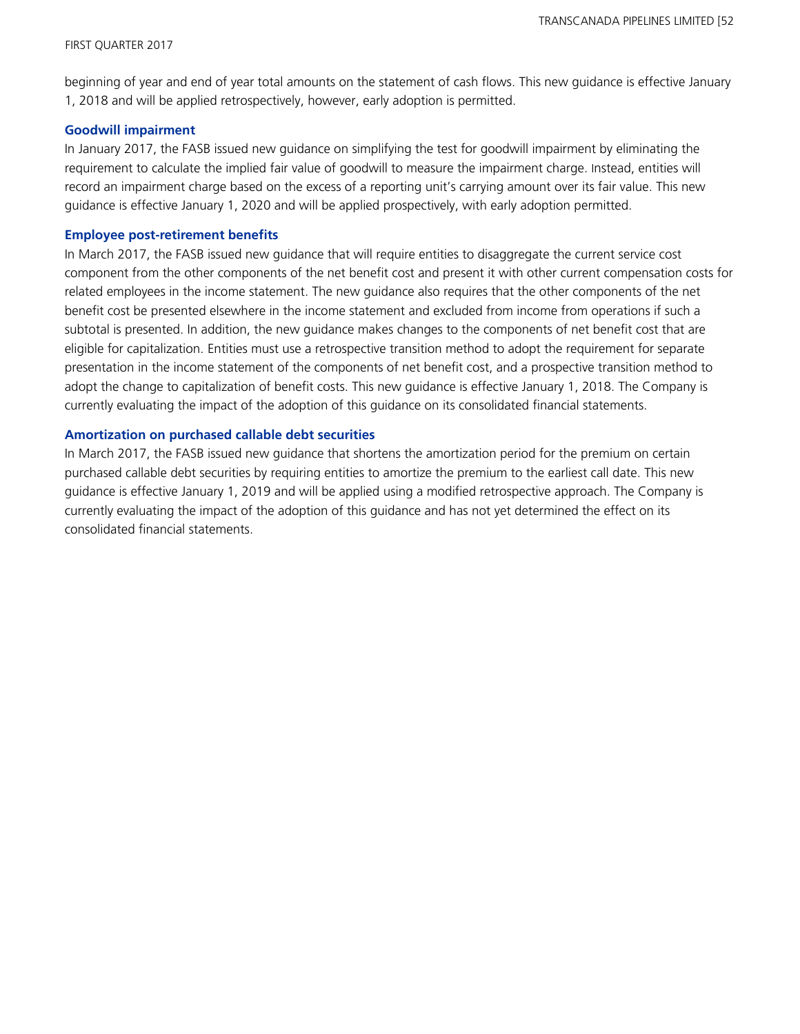beginning of year and end of year total amounts on the statement of cash flows. This new guidance is effective January 1, 2018 and will be applied retrospectively, however, early adoption is permitted.

### **Goodwill impairment**

In January 2017, the FASB issued new guidance on simplifying the test for goodwill impairment by eliminating the requirement to calculate the implied fair value of goodwill to measure the impairment charge. Instead, entities will record an impairment charge based on the excess of a reporting unit's carrying amount over its fair value. This new guidance is effective January 1, 2020 and will be applied prospectively, with early adoption permitted.

#### **Employee post-retirement benefits**

In March 2017, the FASB issued new guidance that will require entities to disaggregate the current service cost component from the other components of the net benefit cost and present it with other current compensation costs for related employees in the income statement. The new guidance also requires that the other components of the net benefit cost be presented elsewhere in the income statement and excluded from income from operations if such a subtotal is presented. In addition, the new guidance makes changes to the components of net benefit cost that are eligible for capitalization. Entities must use a retrospective transition method to adopt the requirement for separate presentation in the income statement of the components of net benefit cost, and a prospective transition method to adopt the change to capitalization of benefit costs. This new guidance is effective January 1, 2018. The Company is currently evaluating the impact of the adoption of this guidance on its consolidated financial statements.

#### **Amortization on purchased callable debt securities**

In March 2017, the FASB issued new guidance that shortens the amortization period for the premium on certain purchased callable debt securities by requiring entities to amortize the premium to the earliest call date. This new guidance is effective January 1, 2019 and will be applied using a modified retrospective approach. The Company is currently evaluating the impact of the adoption of this guidance and has not yet determined the effect on its consolidated financial statements.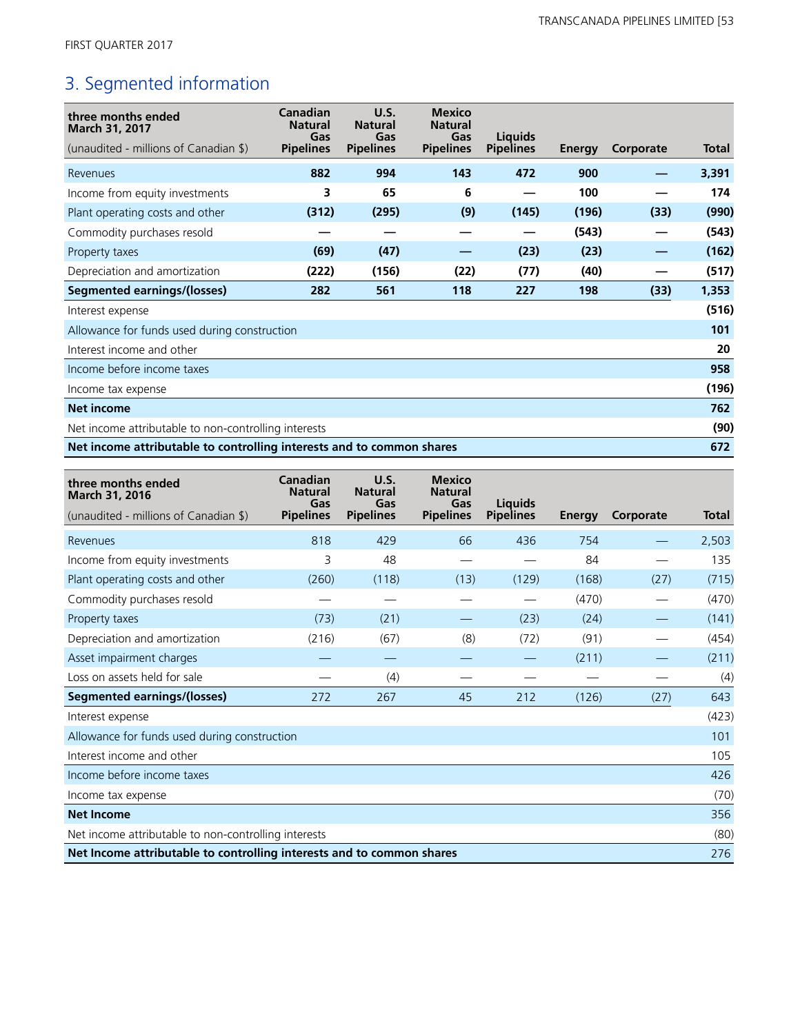# 3. Segmented information

| three months ended<br>March 31, 2017<br>(unaudited - millions of Canadian \$) | Canadian<br><b>Natural</b><br>Gas<br><b>Pipelines</b> | U.S.<br><b>Natural</b><br>Gas<br><b>Pipelines</b> | <b>Mexico</b><br><b>Natural</b><br>Gas<br><b>Pipelines</b> | <b>Liquids</b><br><b>Pipelines</b> | Energy | Corporate | Total |
|-------------------------------------------------------------------------------|-------------------------------------------------------|---------------------------------------------------|------------------------------------------------------------|------------------------------------|--------|-----------|-------|
| Revenues                                                                      | 882                                                   | 994                                               | 143                                                        | 472                                | 900    |           | 3,391 |
| Income from equity investments                                                | 3                                                     | 65                                                | 6                                                          |                                    | 100    |           | 174   |
| Plant operating costs and other                                               | (312)                                                 | (295)                                             | (9)                                                        | (145)                              | (196)  | (33)      | (990) |
| Commodity purchases resold                                                    |                                                       |                                                   |                                                            |                                    | (543)  |           | (543) |
| Property taxes                                                                | (69)                                                  | (47)                                              |                                                            | (23)                               | (23)   |           | (162) |
| Depreciation and amortization                                                 | (222)                                                 | (156)                                             | (22)                                                       | (77)                               | (40)   |           | (517) |
| <b>Segmented earnings/(losses)</b>                                            | 282                                                   | 561                                               | 118                                                        | 227                                | 198    | (33)      | 1,353 |
| Interest expense                                                              |                                                       |                                                   |                                                            |                                    |        |           | (516) |
| Allowance for funds used during construction                                  |                                                       |                                                   |                                                            |                                    |        |           | 101   |
| Interest income and other                                                     |                                                       |                                                   |                                                            |                                    |        |           | 20    |
| Income before income taxes                                                    |                                                       |                                                   |                                                            |                                    |        |           | 958   |
| Income tax expense                                                            |                                                       |                                                   |                                                            |                                    |        |           | (196) |
| <b>Net income</b>                                                             |                                                       |                                                   |                                                            |                                    |        |           | 762   |
| Net income attributable to non-controlling interests                          |                                                       |                                                   |                                                            |                                    |        |           | (90)  |
| Net income attributable to controlling interests and to common shares         |                                                       |                                                   |                                                            |                                    |        |           | 672   |

| three months ended<br>March 31, 2016                                  | Canadian<br><b>Natural</b><br>Gas | U.S.<br><b>Natural</b><br>Gas | <b>Mexico</b><br><b>Natural</b><br>Gas | Liauids          |        |           |              |
|-----------------------------------------------------------------------|-----------------------------------|-------------------------------|----------------------------------------|------------------|--------|-----------|--------------|
| (unaudited - millions of Canadian \$)                                 | <b>Pipelines</b>                  | <b>Pipelines</b>              | <b>Pipelines</b>                       | <b>Pipelines</b> | Energy | Corporate | <b>Total</b> |
| Revenues                                                              | 818                               | 429                           | 66                                     | 436              | 754    |           | 2,503        |
| Income from equity investments                                        | 3                                 | 48                            |                                        |                  | 84     |           | 135          |
| Plant operating costs and other                                       | (260)                             | (118)                         | (13)                                   | (129)            | (168)  | (27)      | (715)        |
| Commodity purchases resold                                            |                                   |                               |                                        |                  | (470)  |           | (470)        |
| Property taxes                                                        | (73)                              | (21)                          |                                        | (23)             | (24)   |           | (141)        |
| Depreciation and amortization                                         | (216)                             | (67)                          | (8)                                    | (72)             | (91)   |           | (454)        |
| Asset impairment charges                                              |                                   |                               |                                        |                  | (211)  |           | (211)        |
| Loss on assets held for sale                                          |                                   | (4)                           |                                        |                  |        |           | (4)          |
| <b>Segmented earnings/(losses)</b>                                    | 272                               | 267                           | 45                                     | 212              | (126)  | (27)      | 643          |
| Interest expense                                                      |                                   |                               |                                        |                  |        |           | (423)        |
| Allowance for funds used during construction                          |                                   |                               |                                        |                  |        |           | 101          |
| Interest income and other                                             |                                   |                               |                                        |                  |        |           | 105          |
| Income before income taxes                                            |                                   |                               |                                        |                  |        |           | 426          |
| Income tax expense                                                    |                                   |                               |                                        |                  |        |           | (70)         |
| <b>Net Income</b>                                                     |                                   |                               |                                        |                  |        |           | 356          |
| Net income attributable to non-controlling interests                  |                                   |                               |                                        |                  |        |           | (80)         |
| Net Income attributable to controlling interests and to common shares |                                   |                               |                                        |                  |        |           | 276          |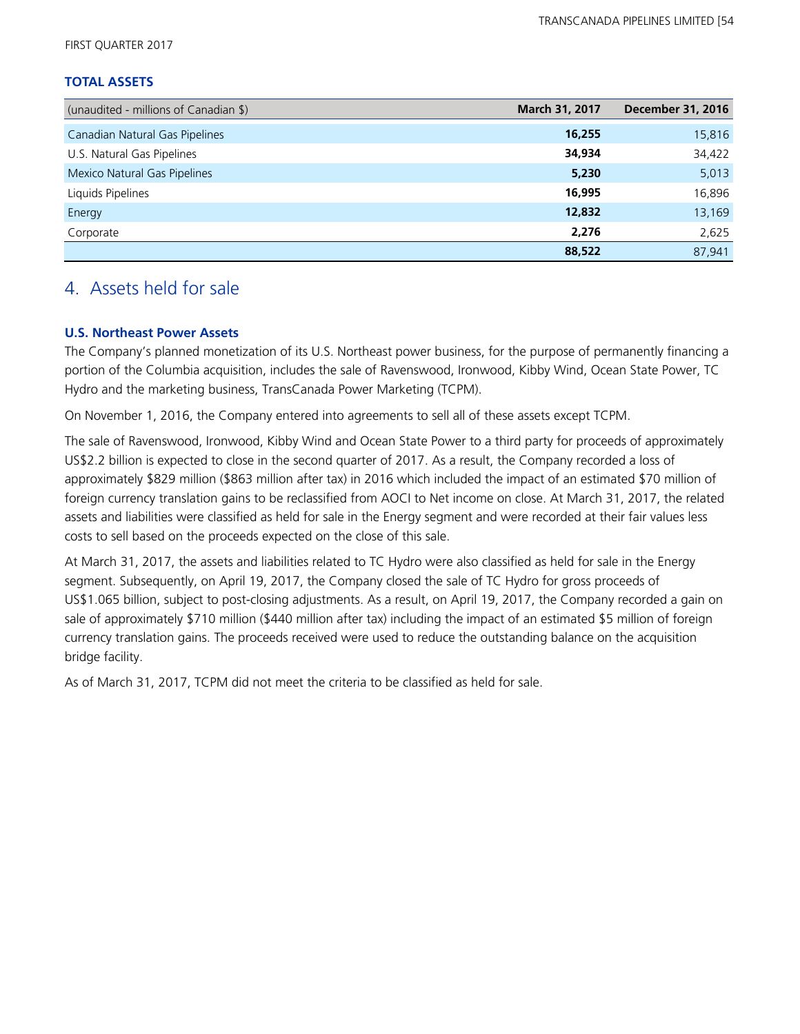FIRST QUARTER 2017

### **TOTAL ASSETS**

| (unaudited - millions of Canadian \$) | March 31, 2017 | <b>December 31, 2016</b> |
|---------------------------------------|----------------|--------------------------|
| Canadian Natural Gas Pipelines        | 16,255         | 15,816                   |
| U.S. Natural Gas Pipelines            | 34,934         | 34,422                   |
| Mexico Natural Gas Pipelines          | 5,230          | 5,013                    |
| Liquids Pipelines                     | 16,995         | 16,896                   |
| Energy                                | 12,832         | 13,169                   |
| Corporate                             | 2,276          | 2,625                    |
|                                       | 88,522         | 87.941                   |

### 4. Assets held for sale

### **U.S. Northeast Power Assets**

The Company's planned monetization of its U.S. Northeast power business, for the purpose of permanently financing a portion of the Columbia acquisition, includes the sale of Ravenswood, Ironwood, Kibby Wind, Ocean State Power, TC Hydro and the marketing business, TransCanada Power Marketing (TCPM).

On November 1, 2016, the Company entered into agreements to sell all of these assets except TCPM.

The sale of Ravenswood, Ironwood, Kibby Wind and Ocean State Power to a third party for proceeds of approximately US\$2.2 billion is expected to close in the second quarter of 2017. As a result, the Company recorded a loss of approximately \$829 million (\$863 million after tax) in 2016 which included the impact of an estimated \$70 million of foreign currency translation gains to be reclassified from AOCI to Net income on close. At March 31, 2017, the related assets and liabilities were classified as held for sale in the Energy segment and were recorded at their fair values less costs to sell based on the proceeds expected on the close of this sale.

At March 31, 2017, the assets and liabilities related to TC Hydro were also classified as held for sale in the Energy segment. Subsequently, on April 19, 2017, the Company closed the sale of TC Hydro for gross proceeds of US\$1.065 billion, subject to post-closing adjustments. As a result, on April 19, 2017, the Company recorded a gain on sale of approximately \$710 million (\$440 million after tax) including the impact of an estimated \$5 million of foreign currency translation gains. The proceeds received were used to reduce the outstanding balance on the acquisition bridge facility.

As of March 31, 2017, TCPM did not meet the criteria to be classified as held for sale.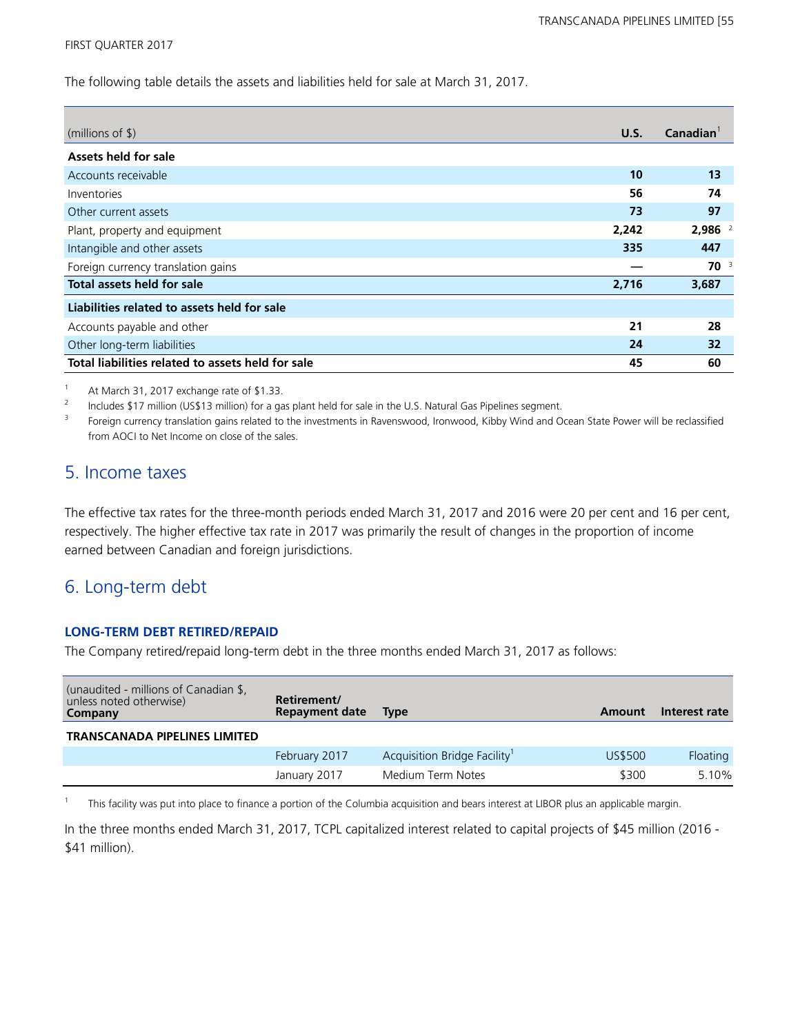#### FIRST QUARTER 2017

The following table details the assets and liabilities held for sale at March 31, 2017.

| (millions of $$$ )                                | U.S.  | Canadian <sup>1</sup> |
|---------------------------------------------------|-------|-----------------------|
| Assets held for sale                              |       |                       |
| Accounts receivable                               | 10    | 13                    |
| Inventories                                       | 56    | 74                    |
| Other current assets                              | 73    | 97                    |
| Plant, property and equipment                     | 2,242 | $2,986$ <sup>2</sup>  |
| Intangible and other assets                       | 335   | 447                   |
| Foreign currency translation gains                |       | $70^{3}$              |
| Total assets held for sale                        | 2,716 | 3,687                 |
| Liabilities related to assets held for sale       |       |                       |
| Accounts payable and other                        | 21    | 28                    |
| Other long-term liabilities                       | 24    | 32                    |
| Total liabilities related to assets held for sale | 45    | 60                    |

<sup>1</sup> At March 31, 2017 exchange rate of \$1.33.

2 Includes \$17 million (US\$13 million) for a gas plant held for sale in the U.S. Natural Gas Pipelines segment.

3 Foreign currency translation gains related to the investments in Ravenswood, Ironwood, Kibby Wind and Ocean State Power will be reclassified from AOCI to Net Income on close of the sales.

### 5. Income taxes

The effective tax rates for the three-month periods ended March 31, 2017 and 2016 were 20 per cent and 16 per cent, respectively. The higher effective tax rate in 2017 was primarily the result of changes in the proportion of income earned between Canadian and foreign jurisdictions.

### 6. Long-term debt

### **LONG-TERM DEBT RETIRED/REPAID**

The Company retired/repaid long-term debt in the three months ended March 31, 2017 as follows:

| (unaudited - millions of Canadian \$,<br>unless noted otherwise)<br>Company | Retirement/<br><b>Repayment date</b> | <b>Type</b>                 | Amount  | Interest rate |
|-----------------------------------------------------------------------------|--------------------------------------|-----------------------------|---------|---------------|
| <b>TRANSCANADA PIPELINES LIMITED</b>                                        |                                      |                             |         |               |
|                                                                             | February 2017                        | Acquisition Bridge Facility | US\$500 | Floating      |
|                                                                             | January 2017                         | Medium Term Notes           | \$300   | 5.10%         |

1 This facility was put into place to finance a portion of the Columbia acquisition and bears interest at LIBOR plus an applicable margin.

In the three months ended March 31, 2017, TCPL capitalized interest related to capital projects of \$45 million (2016 - \$41 million).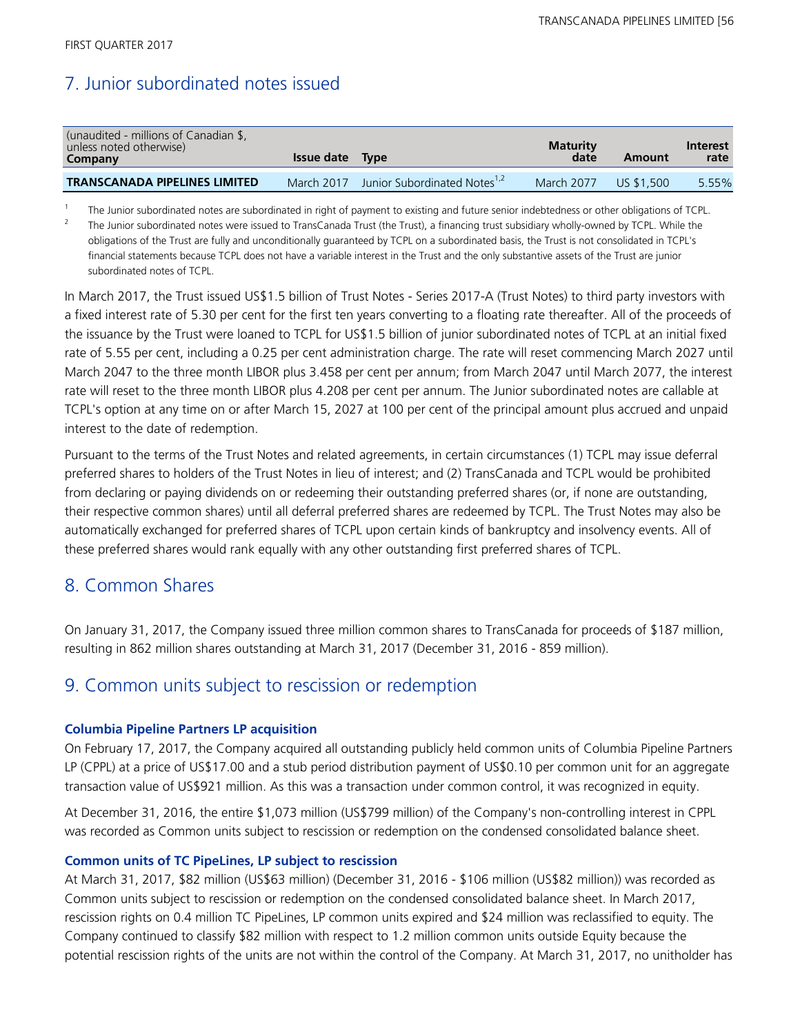### 7. Junior subordinated notes issued

| (unaudited - millions of Canadian \$,<br>unless noted otherwise)<br>Company | <b>Issue date</b> Type |                                          | <b>Maturity</b><br>date | Amount     | Interest<br>rate |
|-----------------------------------------------------------------------------|------------------------|------------------------------------------|-------------------------|------------|------------------|
| <b>TRANSCANADA PIPELINES LIMITED</b>                                        | March 2017             | Junior Subordinated Notes <sup>1,2</sup> | March 2077              | US \$1,500 | 5.55%            |

1 The Junior subordinated notes are subordinated in right of payment to existing and future senior indebtedness or other obligations of TCPL. 2 The Junior subordinated notes were issued to TransCanada Trust (the Trust), a financing trust subsidiary wholly-owned by TCPL. While the obligations of the Trust are fully and unconditionally guaranteed by TCPL on a subordinated basis, the Trust is not consolidated in TCPL's

financial statements because TCPL does not have a variable interest in the Trust and the only substantive assets of the Trust are junior subordinated notes of TCPL.

In March 2017, the Trust issued US\$1.5 billion of Trust Notes - Series 2017-A (Trust Notes) to third party investors with a fixed interest rate of 5.30 per cent for the first ten years converting to a floating rate thereafter. All of the proceeds of the issuance by the Trust were loaned to TCPL for US\$1.5 billion of junior subordinated notes of TCPL at an initial fixed rate of 5.55 per cent, including a 0.25 per cent administration charge. The rate will reset commencing March 2027 until March 2047 to the three month LIBOR plus 3.458 per cent per annum; from March 2047 until March 2077, the interest rate will reset to the three month LIBOR plus 4.208 per cent per annum. The Junior subordinated notes are callable at TCPL's option at any time on or after March 15, 2027 at 100 per cent of the principal amount plus accrued and unpaid interest to the date of redemption.

Pursuant to the terms of the Trust Notes and related agreements, in certain circumstances (1) TCPL may issue deferral preferred shares to holders of the Trust Notes in lieu of interest; and (2) TransCanada and TCPL would be prohibited from declaring or paying dividends on or redeeming their outstanding preferred shares (or, if none are outstanding, their respective common shares) until all deferral preferred shares are redeemed by TCPL. The Trust Notes may also be automatically exchanged for preferred shares of TCPL upon certain kinds of bankruptcy and insolvency events. All of these preferred shares would rank equally with any other outstanding first preferred shares of TCPL.

### 8. Common Shares

On January 31, 2017, the Company issued three million common shares to TransCanada for proceeds of \$187 million, resulting in 862 million shares outstanding at March 31, 2017 (December 31, 2016 - 859 million).

### 9. Common units subject to rescission or redemption

### **Columbia Pipeline Partners LP acquisition**

On February 17, 2017, the Company acquired all outstanding publicly held common units of Columbia Pipeline Partners LP (CPPL) at a price of US\$17.00 and a stub period distribution payment of US\$0.10 per common unit for an aggregate transaction value of US\$921 million. As this was a transaction under common control, it was recognized in equity.

At December 31, 2016, the entire \$1,073 million (US\$799 million) of the Company's non-controlling interest in CPPL was recorded as Common units subject to rescission or redemption on the condensed consolidated balance sheet.

### **Common units of TC PipeLines, LP subject to rescission**

At March 31, 2017, \$82 million (US\$63 million) (December 31, 2016 - \$106 million (US\$82 million)) was recorded as Common units subject to rescission or redemption on the condensed consolidated balance sheet. In March 2017, rescission rights on 0.4 million TC PipeLines, LP common units expired and \$24 million was reclassified to equity. The Company continued to classify \$82 million with respect to 1.2 million common units outside Equity because the potential rescission rights of the units are not within the control of the Company. At March 31, 2017, no unitholder has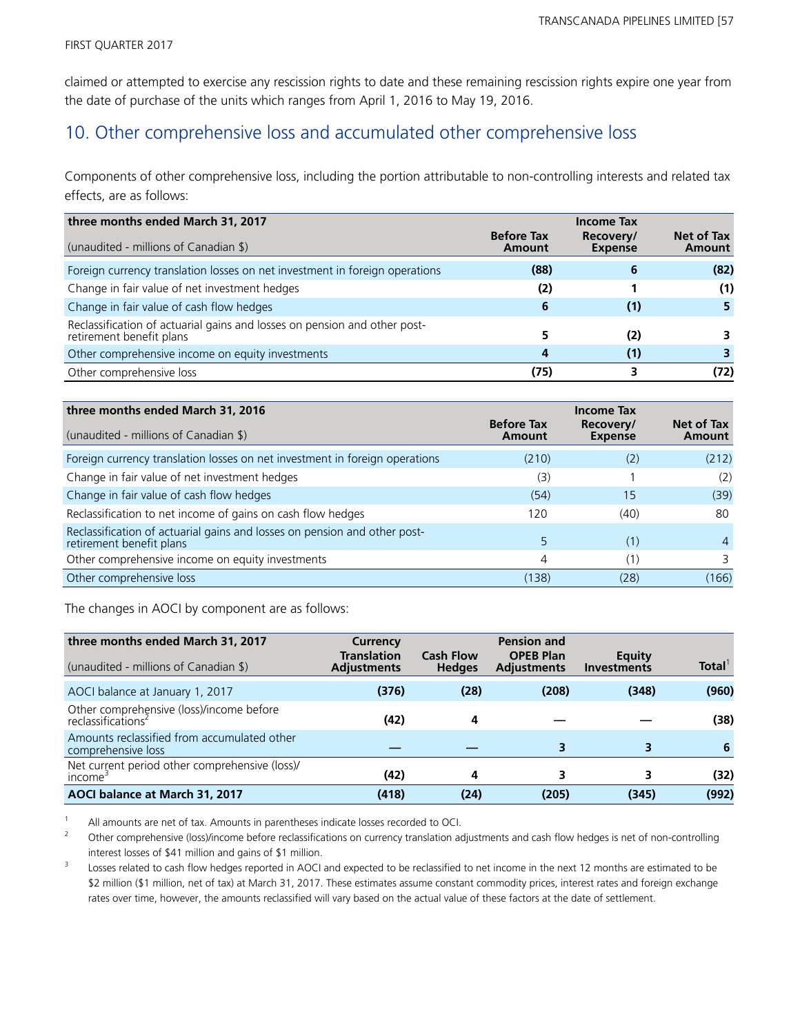claimed or attempted to exercise any rescission rights to date and these remaining rescission rights expire one year from the date of purchase of the units which ranges from April 1, 2016 to May 19, 2016.

### 10. Other comprehensive loss and accumulated other comprehensive loss

Components of other comprehensive loss, including the portion attributable to non-controlling interests and related tax effects, are as follows:

| three months ended March 31, 2017                                                                     |                             | <b>Income Tax</b>           |                      |
|-------------------------------------------------------------------------------------------------------|-----------------------------|-----------------------------|----------------------|
| (unaudited - millions of Canadian \$)                                                                 | <b>Before Tax</b><br>Amount | Recovery/<br><b>Expense</b> | Net of Tax<br>Amount |
| Foreign currency translation losses on net investment in foreign operations                           | (88)                        |                             | (82)                 |
| Change in fair value of net investment hedges                                                         | (2)                         |                             | (1)                  |
| Change in fair value of cash flow hedges                                                              | 6                           | (1)                         |                      |
| Reclassification of actuarial gains and losses on pension and other post-<br>retirement benefit plans |                             | (2)                         |                      |
| Other comprehensive income on equity investments                                                      | 4                           | (1)                         |                      |
| Other comprehensive loss                                                                              | (75)                        |                             | (72)                 |

| three months ended March 31, 2016                                                                     |                             | <b>Income Tax</b>           |                      |
|-------------------------------------------------------------------------------------------------------|-----------------------------|-----------------------------|----------------------|
| (unaudited - millions of Canadian \$)                                                                 | <b>Before Tax</b><br>Amount | Recovery/<br><b>Expense</b> | Net of Tax<br>Amount |
| Foreign currency translation losses on net investment in foreign operations                           | (210)                       | (2)                         | (212)                |
| Change in fair value of net investment hedges                                                         | (3)                         |                             | (2)                  |
| Change in fair value of cash flow hedges                                                              | (54)                        | 15                          | (39)                 |
| Reclassification to net income of gains on cash flow hedges                                           | 120                         | (40)                        | 80                   |
| Reclassification of actuarial gains and losses on pension and other post-<br>retirement benefit plans |                             | (1)                         | 4                    |
| Other comprehensive income on equity investments                                                      | 4                           | (1)                         |                      |
| Other comprehensive loss                                                                              | (138)                       | (28)                        | (166)                |

The changes in AOCI by component are as follows:

| three months ended March 31, 2017<br>(unaudited - millions of Canadian \$) | Currency<br><b>Translation</b><br><b>Adjustments</b> | <b>Cash Flow</b><br><b>Hedges</b> | <b>Pension and</b><br><b>OPEB Plan</b><br><b>Adjustments</b> | Equity<br><b>Investments</b> | <b>Total</b> |
|----------------------------------------------------------------------------|------------------------------------------------------|-----------------------------------|--------------------------------------------------------------|------------------------------|--------------|
| AOCI balance at January 1, 2017                                            | (376)                                                | (28)                              | (208)                                                        | (348)                        | (960)        |
| Other comprehensive (loss)/income before<br>reclassifications <sup>2</sup> | (42)                                                 | 4                                 |                                                              |                              | (38)         |
| Amounts reclassified from accumulated other<br>comprehensive loss          |                                                      |                                   |                                                              |                              | -6           |
| Net current period other comprehensive (loss)/<br>income <sup>3</sup>      | (42)                                                 | 4                                 |                                                              |                              | (32)         |
| AOCI balance at March 31, 2017                                             | (418)                                                | (24)                              | (205)                                                        | (345)                        | (992)        |

<sup>1</sup> All amounts are net of tax. Amounts in parentheses indicate losses recorded to OCI.

<sup>2</sup> Other comprehensive (loss)/income before reclassifications on currency translation adjustments and cash flow hedges is net of non-controlling interest losses of \$41 million and gains of \$1 million.

3 Losses related to cash flow hedges reported in AOCI and expected to be reclassified to net income in the next 12 months are estimated to be \$2 million (\$1 million, net of tax) at March 31, 2017. These estimates assume constant commodity prices, interest rates and foreign exchange rates over time, however, the amounts reclassified will vary based on the actual value of these factors at the date of settlement.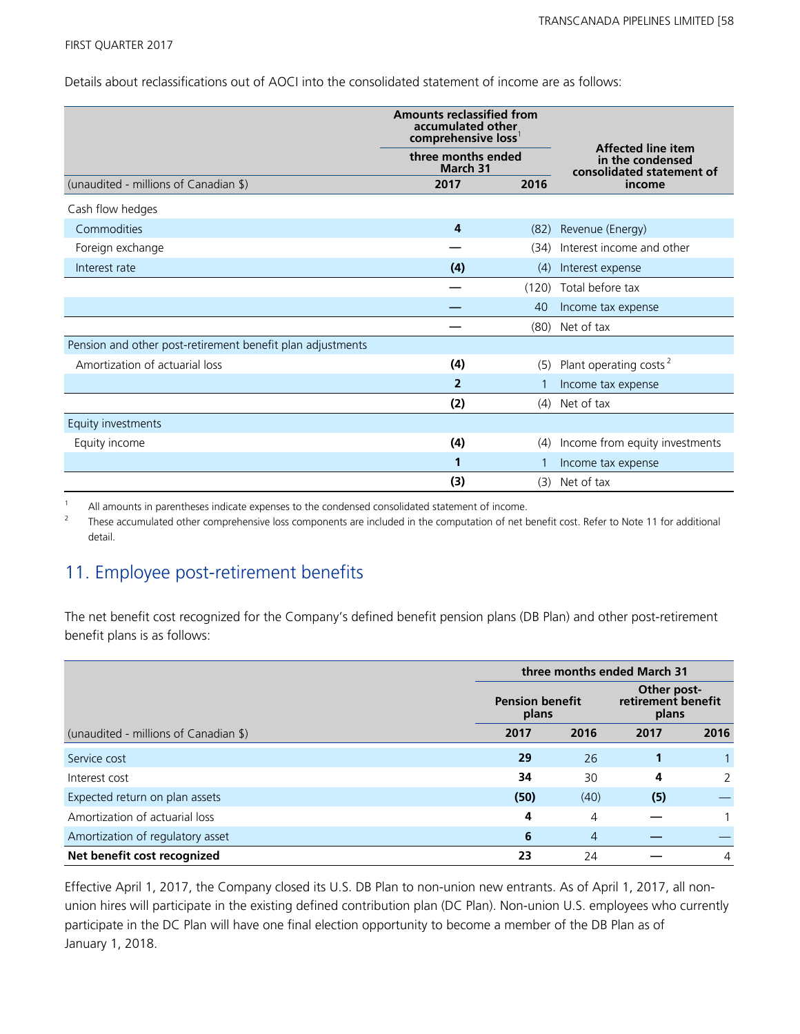#### FIRST QUARTER 2017

Details about reclassifications out of AOCI into the consolidated statement of income are as follows:

|                                                            | <b>Amounts reclassified from</b><br>accumulated other<br>comprehensive loss <sup>1</sup><br>three months ended<br>March 31 |       | <b>Affected line item</b><br>in the condensed<br>consolidated statement of |
|------------------------------------------------------------|----------------------------------------------------------------------------------------------------------------------------|-------|----------------------------------------------------------------------------|
| (unaudited - millions of Canadian \$)                      | 2016<br>2017                                                                                                               |       | income                                                                     |
| Cash flow hedges                                           |                                                                                                                            |       |                                                                            |
| Commodities                                                | 4                                                                                                                          | (82)  | Revenue (Energy)                                                           |
| Foreign exchange                                           |                                                                                                                            | (34)  | Interest income and other                                                  |
| Interest rate                                              | (4)<br>(4)                                                                                                                 |       | Interest expense                                                           |
|                                                            |                                                                                                                            | (120) | Total before tax                                                           |
|                                                            |                                                                                                                            | 40    | Income tax expense                                                         |
|                                                            |                                                                                                                            |       | (80) Net of tax                                                            |
| Pension and other post-retirement benefit plan adjustments |                                                                                                                            |       |                                                                            |
| Amortization of actuarial loss                             | (4)                                                                                                                        | (5)   | Plant operating costs <sup>2</sup>                                         |
|                                                            | $\overline{2}$                                                                                                             |       | Income tax expense                                                         |
|                                                            | (2)                                                                                                                        | (4)   | Net of tax                                                                 |
| Equity investments                                         |                                                                                                                            |       |                                                                            |
| Equity income                                              | (4)                                                                                                                        | (4)   | Income from equity investments                                             |
|                                                            |                                                                                                                            |       | Income tax expense                                                         |
|                                                            | (3)                                                                                                                        | (3)   | Net of tax                                                                 |

 $1 -$  All amounts in parentheses indicate expenses to the condensed consolidated statement of income.

2 These accumulated other comprehensive loss components are included in the computation of net benefit cost. Refer to Note 11 for additional detail.

### 11. Employee post-retirement benefits

The net benefit cost recognized for the Company's defined benefit pension plans (DB Plan) and other post-retirement benefit plans is as follows:

|                                       | three months ended March 31     |                |      |                                            |  |  |
|---------------------------------------|---------------------------------|----------------|------|--------------------------------------------|--|--|
|                                       | <b>Pension benefit</b><br>plans |                |      | Other post-<br>retirement benefit<br>plans |  |  |
| (unaudited - millions of Canadian \$) | 2017                            | 2016           | 2017 | 2016                                       |  |  |
| Service cost                          | 29                              | 26             |      |                                            |  |  |
| Interest cost                         | 34                              | 30             | 4    | $\mathcal{P}$                              |  |  |
| Expected return on plan assets        | (50)                            | (40)           | (5)  |                                            |  |  |
| Amortization of actuarial loss        | 4                               | 4              |      |                                            |  |  |
| Amortization of regulatory asset      | 6                               | $\overline{4}$ |      |                                            |  |  |
| Net benefit cost recognized           | 23                              | 24             |      | 4                                          |  |  |

Effective April 1, 2017, the Company closed its U.S. DB Plan to non-union new entrants. As of April 1, 2017, all nonunion hires will participate in the existing defined contribution plan (DC Plan). Non-union U.S. employees who currently participate in the DC Plan will have one final election opportunity to become a member of the DB Plan as of January 1, 2018.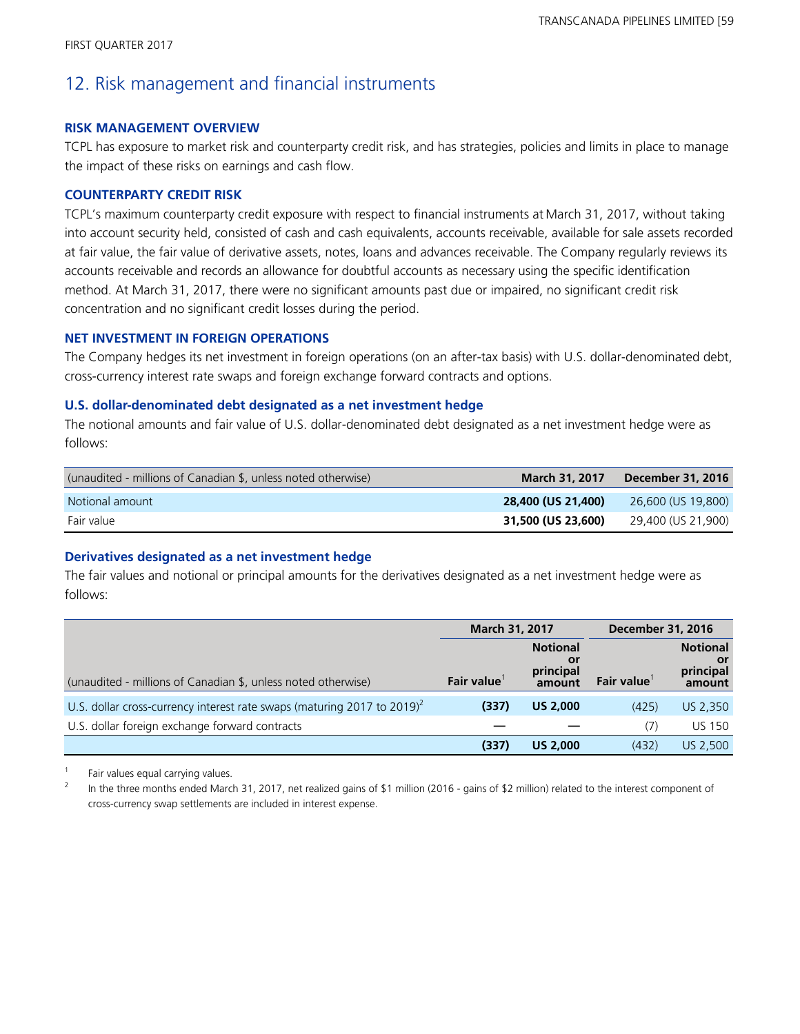### 12. Risk management and financial instruments

### **RISK MANAGEMENT OVERVIEW**

TCPL has exposure to market risk and counterparty credit risk, and has strategies, policies and limits in place to manage the impact of these risks on earnings and cash flow.

### **COUNTERPARTY CREDIT RISK**

TCPL's maximum counterparty credit exposure with respect to financial instruments at March 31, 2017, without taking into account security held, consisted of cash and cash equivalents, accounts receivable, available for sale assets recorded at fair value, the fair value of derivative assets, notes, loans and advances receivable. The Company regularly reviews its accounts receivable and records an allowance for doubtful accounts as necessary using the specific identification method. At March 31, 2017, there were no significant amounts past due or impaired, no significant credit risk concentration and no significant credit losses during the period.

### **NET INVESTMENT IN FOREIGN OPERATIONS**

The Company hedges its net investment in foreign operations (on an after-tax basis) with U.S. dollar-denominated debt, cross-currency interest rate swaps and foreign exchange forward contracts and options.

### **U.S. dollar-denominated debt designated as a net investment hedge**

The notional amounts and fair value of U.S. dollar-denominated debt designated as a net investment hedge were as follows:

| (unaudited - millions of Canadian \$, unless noted otherwise) | <b>March 31, 2017</b> | December 31, 2016  |
|---------------------------------------------------------------|-----------------------|--------------------|
| Notional amount                                               | 28,400 (US 21,400)    | 26,600 (US 19,800) |
| Fair value                                                    | 31,500 (US 23,600)    | 29,400 (US 21,900) |

### **Derivatives designated as a net investment hedge**

The fair values and notional or principal amounts for the derivatives designated as a net investment hedge were as follows:

|                                                                             | March 31, 2017    |                                               | <b>December 31, 2016</b> |                                              |
|-----------------------------------------------------------------------------|-------------------|-----------------------------------------------|--------------------------|----------------------------------------------|
| (unaudited - millions of Canadian \$, unless noted otherwise)               | <b>Fair value</b> | <b>Notional</b><br>.or<br>principal<br>amount | <b>Fair value</b>        | <b>Notional</b><br>or<br>principal<br>amount |
| U.S. dollar cross-currency interest rate swaps (maturing 2017 to 2019) $^2$ | (337)             | <b>US 2,000</b>                               | (425)                    | US 2,350                                     |
| U.S. dollar foreign exchange forward contracts                              |                   |                                               | (7)                      | <b>US 150</b>                                |
|                                                                             | (337)             | <b>US 2,000</b>                               | (432)                    | US 2,500                                     |

<sup>1</sup> Fair values equal carrying values.

<sup>2</sup> In the three months ended March 31, 2017, net realized gains of \$1 million (2016 - gains of \$2 million) related to the interest component of cross-currency swap settlements are included in interest expense.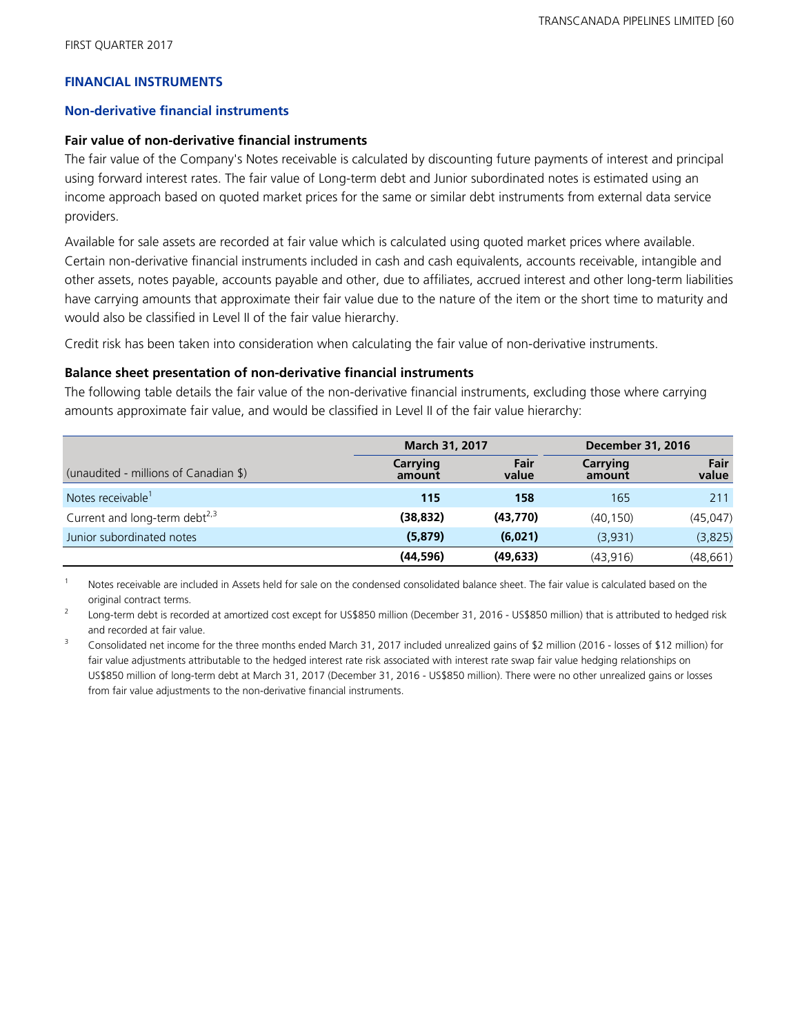### **FINANCIAL INSTRUMENTS**

### **Non-derivative financial instruments**

### **Fair value of non-derivative financial instruments**

The fair value of the Company's Notes receivable is calculated by discounting future payments of interest and principal using forward interest rates. The fair value of Long-term debt and Junior subordinated notes is estimated using an income approach based on quoted market prices for the same or similar debt instruments from external data service providers.

Available for sale assets are recorded at fair value which is calculated using quoted market prices where available. Certain non-derivative financial instruments included in cash and cash equivalents, accounts receivable, intangible and other assets, notes payable, accounts payable and other, due to affiliates, accrued interest and other long-term liabilities have carrying amounts that approximate their fair value due to the nature of the item or the short time to maturity and would also be classified in Level II of the fair value hierarchy.

Credit risk has been taken into consideration when calculating the fair value of non-derivative instruments.

### **Balance sheet presentation of non-derivative financial instruments**

The following table details the fair value of the non-derivative financial instruments, excluding those where carrying amounts approximate fair value, and would be classified in Level II of the fair value hierarchy:

|                                           | March 31, 2017     |               |                    | <b>December 31, 2016</b> |  |  |
|-------------------------------------------|--------------------|---------------|--------------------|--------------------------|--|--|
| (unaudited - millions of Canadian \$)     | Carrying<br>amount | Fair<br>value | Carrying<br>amount | Fair<br>value            |  |  |
| Notes receivable <sup>1</sup>             | 115                | 158           | 165                | 211                      |  |  |
| Current and long-term debt <sup>2,3</sup> | (38, 832)          | (43,770)      | (40.150)           | (45, 047)                |  |  |
| Junior subordinated notes                 | (5, 879)           | (6,021)       | (3,931)            | (3,825)                  |  |  |
|                                           | (44, 596)          | (49, 633)     | (43, 916)          | (48, 661)                |  |  |

Notes receivable are included in Assets held for sale on the condensed consolidated balance sheet. The fair value is calculated based on the original contract terms.

2 Long-term debt is recorded at amortized cost except for US\$850 million (December 31, 2016 - US\$850 million) that is attributed to hedged risk and recorded at fair value.

<sup>3</sup> Consolidated net income for the three months ended March 31, 2017 included unrealized gains of \$2 million (2016 - losses of \$12 million) for fair value adjustments attributable to the hedged interest rate risk associated with interest rate swap fair value hedging relationships on US\$850 million of long-term debt at March 31, 2017 (December 31, 2016 - US\$850 million). There were no other unrealized gains or losses from fair value adjustments to the non-derivative financial instruments.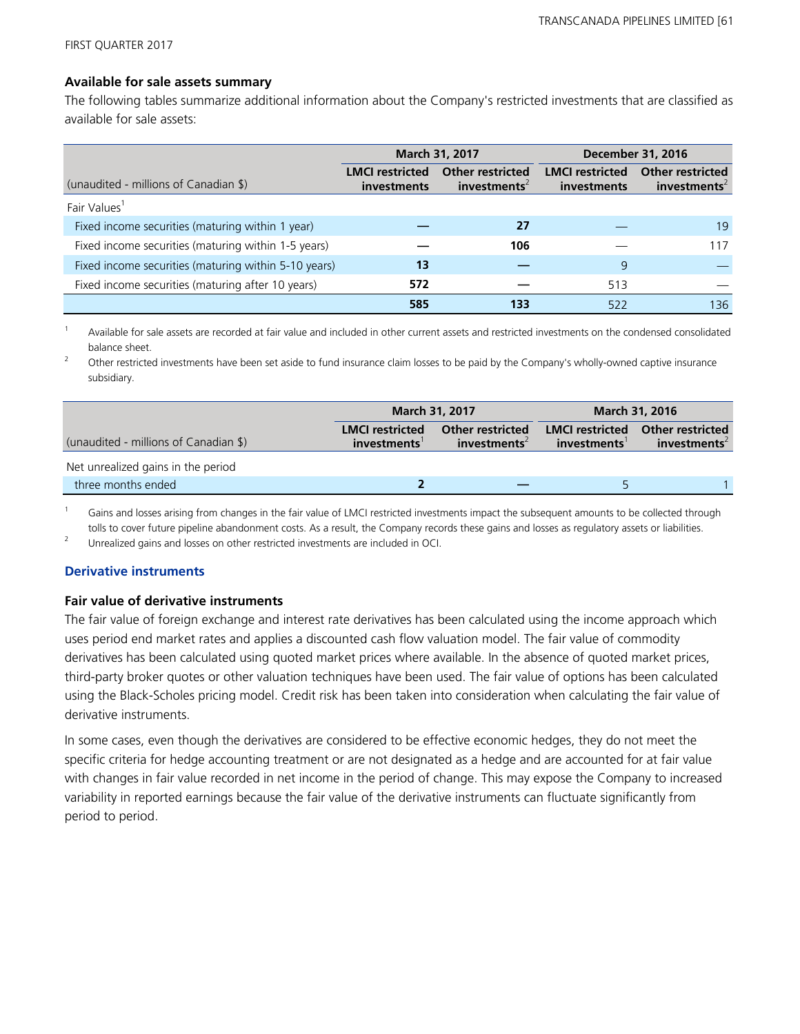### **Available for sale assets summary**

The following tables summarize additional information about the Company's restricted investments that are classified as available for sale assets:

|                                                      |                                       | March 31, 2017                                      | <b>December 31, 2016</b>              |                                              |  |  |
|------------------------------------------------------|---------------------------------------|-----------------------------------------------------|---------------------------------------|----------------------------------------------|--|--|
| (unaudited - millions of Canadian \$)                | <b>LMCI</b> restricted<br>investments | <b>Other restricted</b><br>investments <sup>2</sup> | <b>LMCI</b> restricted<br>investments | Other restricted<br>investments <sup>2</sup> |  |  |
| Fair Values <sup>1</sup>                             |                                       |                                                     |                                       |                                              |  |  |
| Fixed income securities (maturing within 1 year)     |                                       | 27                                                  |                                       | 19                                           |  |  |
| Fixed income securities (maturing within 1-5 years)  |                                       | 106                                                 |                                       | 117                                          |  |  |
| Fixed income securities (maturing within 5-10 years) | 13                                    |                                                     | 9                                     |                                              |  |  |
| Fixed income securities (maturing after 10 years)    | 572                                   |                                                     | 513                                   |                                              |  |  |
|                                                      | 585                                   | 133                                                 | 522                                   | 136                                          |  |  |

Available for sale assets are recorded at fair value and included in other current assets and restricted investments on the condensed consolidated balance sheet.

<sup>2</sup> Other restricted investments have been set aside to fund insurance claim losses to be paid by the Company's wholly-owned captive insurance subsidiary.

|                                       |                                       | <b>March 31, 2017</b>                               |                                       | <b>March 31, 2016</b>                               |  |  |
|---------------------------------------|---------------------------------------|-----------------------------------------------------|---------------------------------------|-----------------------------------------------------|--|--|
| (unaudited - millions of Canadian \$) | <b>LMCI</b> restricted<br>investments | <b>Other restricted</b><br>investments <sup>2</sup> | <b>LMCI</b> restricted<br>investments | <b>Other restricted</b><br>investments <sup>2</sup> |  |  |
| Net unrealized gains in the period    |                                       |                                                     |                                       |                                                     |  |  |
| three months ended                    |                                       |                                                     |                                       |                                                     |  |  |

 $1$  Gains and losses arising from changes in the fair value of LMCI restricted investments impact the subsequent amounts to be collected through tolls to cover future pipeline abandonment costs. As a result, the Company records these gains and losses as regulatory assets or liabilities.

<sup>2</sup> Unrealized gains and losses on other restricted investments are included in OCI.

### **Derivative instruments**

#### **Fair value of derivative instruments**

The fair value of foreign exchange and interest rate derivatives has been calculated using the income approach which uses period end market rates and applies a discounted cash flow valuation model. The fair value of commodity derivatives has been calculated using quoted market prices where available. In the absence of quoted market prices, third-party broker quotes or other valuation techniques have been used. The fair value of options has been calculated using the Black-Scholes pricing model. Credit risk has been taken into consideration when calculating the fair value of derivative instruments.

In some cases, even though the derivatives are considered to be effective economic hedges, they do not meet the specific criteria for hedge accounting treatment or are not designated as a hedge and are accounted for at fair value with changes in fair value recorded in net income in the period of change. This may expose the Company to increased variability in reported earnings because the fair value of the derivative instruments can fluctuate significantly from period to period.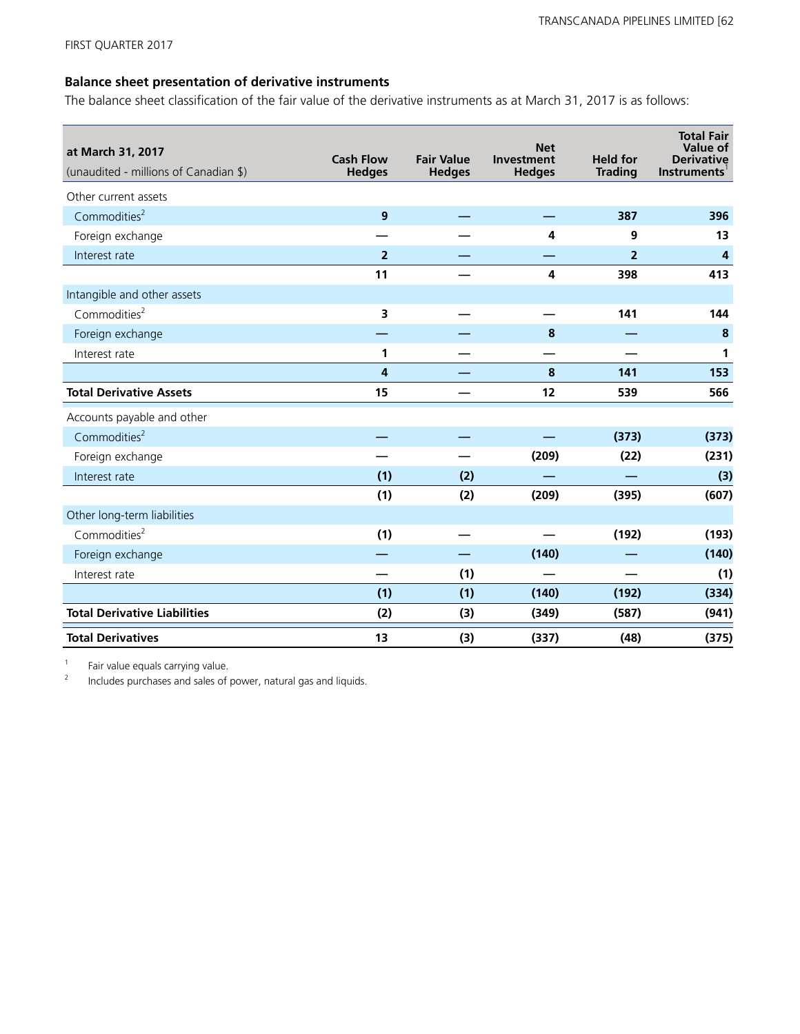### **Balance sheet presentation of derivative instruments**

The balance sheet classification of the fair value of the derivative instruments as at March 31, 2017 is as follows:

| at March 31, 2017<br>(unaudited - millions of Canadian \$) | <b>Cash Flow</b><br><b>Hedges</b> | <b>Fair Value</b><br><b>Hedges</b> | <b>Net</b><br><b>Investment</b><br><b>Hedges</b> | <b>Held for</b><br><b>Trading</b> | <b>Total Fair</b><br>Value of<br><b>Derivative</b><br><b>Instruments</b> |
|------------------------------------------------------------|-----------------------------------|------------------------------------|--------------------------------------------------|-----------------------------------|--------------------------------------------------------------------------|
| Other current assets                                       |                                   |                                    |                                                  |                                   |                                                                          |
| Commodities <sup>2</sup>                                   | $\boldsymbol{9}$                  |                                    |                                                  | 387                               | 396                                                                      |
| Foreign exchange                                           |                                   |                                    | 4                                                | 9                                 | 13                                                                       |
| Interest rate                                              | $\overline{2}$                    |                                    |                                                  | $\overline{2}$                    | 4                                                                        |
|                                                            | 11                                |                                    | 4                                                | 398                               | 413                                                                      |
| Intangible and other assets                                |                                   |                                    |                                                  |                                   |                                                                          |
| Commodities $2$                                            | 3                                 |                                    |                                                  | 141                               | 144                                                                      |
| Foreign exchange                                           |                                   |                                    | 8                                                |                                   | 8                                                                        |
| Interest rate                                              | 1                                 |                                    |                                                  |                                   | 1                                                                        |
|                                                            | 4                                 |                                    | 8                                                | 141                               | 153                                                                      |
| <b>Total Derivative Assets</b>                             | 15                                |                                    | 12                                               | 539                               | 566                                                                      |
| Accounts payable and other                                 |                                   |                                    |                                                  |                                   |                                                                          |
| Commodities <sup>2</sup>                                   |                                   |                                    |                                                  | (373)                             | (373)                                                                    |
| Foreign exchange                                           |                                   |                                    | (209)                                            | (22)                              | (231)                                                                    |
| Interest rate                                              | (1)                               | (2)                                |                                                  |                                   | (3)                                                                      |
|                                                            | (1)                               | (2)                                | (209)                                            | (395)                             | (607)                                                                    |
| Other long-term liabilities                                |                                   |                                    |                                                  |                                   |                                                                          |
| Commodities <sup>2</sup>                                   | (1)                               |                                    |                                                  | (192)                             | (193)                                                                    |
| Foreign exchange                                           |                                   |                                    | (140)                                            |                                   | (140)                                                                    |
| Interest rate                                              |                                   | (1)                                |                                                  |                                   | (1)                                                                      |
|                                                            | (1)                               | (1)                                | (140)                                            | (192)                             | (334)                                                                    |
| <b>Total Derivative Liabilities</b>                        | (2)                               | (3)                                | (349)                                            | (587)                             | (941)                                                                    |
| <b>Total Derivatives</b>                                   | 13                                | (3)                                | (337)                                            | (48)                              | (375)                                                                    |

1 Fair value equals carrying value.

2 Includes purchases and sales of power, natural gas and liquids.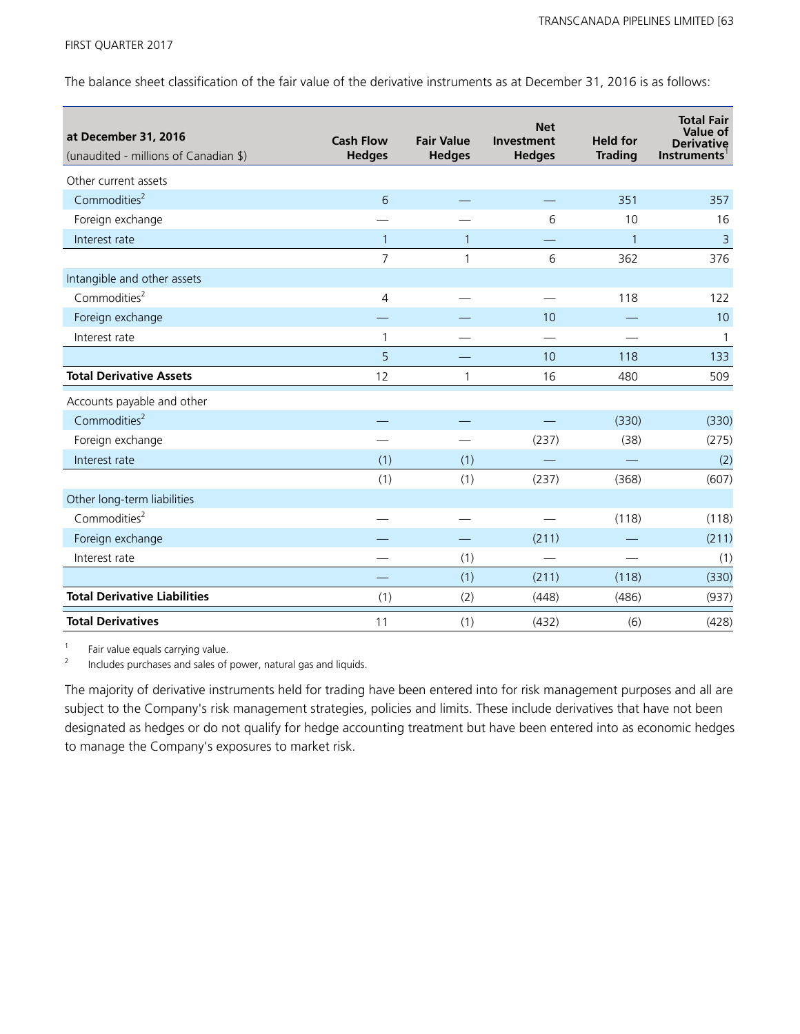The balance sheet classification of the fair value of the derivative instruments as at December 31, 2016 is as follows:

| at December 31, 2016<br>(unaudited - millions of Canadian \$) | <b>Cash Flow</b><br><b>Hedges</b> | <b>Fair Value</b><br><b>Hedges</b> | <b>Net</b><br><b>Investment</b><br><b>Hedges</b> | <b>Held for</b><br><b>Trading</b> | <b>Total Fair</b><br>Value of<br><b>Derivative</b><br><b>Instruments</b> |
|---------------------------------------------------------------|-----------------------------------|------------------------------------|--------------------------------------------------|-----------------------------------|--------------------------------------------------------------------------|
| Other current assets                                          |                                   |                                    |                                                  |                                   |                                                                          |
| Commodities <sup>2</sup>                                      | 6                                 |                                    |                                                  | 351                               | 357                                                                      |
| Foreign exchange                                              |                                   |                                    | 6                                                | 10                                | 16                                                                       |
| Interest rate                                                 | $\mathbf{1}$                      | $\mathbf{1}$                       |                                                  | $\mathbf{1}$                      | $\overline{3}$                                                           |
|                                                               | $\overline{7}$                    | $\mathbf{1}$                       | 6                                                | 362                               | 376                                                                      |
| Intangible and other assets                                   |                                   |                                    |                                                  |                                   |                                                                          |
| Commodities <sup>2</sup>                                      | 4                                 |                                    |                                                  | 118                               | 122                                                                      |
| Foreign exchange                                              |                                   |                                    | 10                                               |                                   | 10                                                                       |
| Interest rate                                                 | $\mathbf{1}$                      |                                    | $\overline{\phantom{a}}$                         |                                   | 1                                                                        |
|                                                               | 5                                 |                                    | 10                                               | 118                               | 133                                                                      |
| <b>Total Derivative Assets</b>                                | 12                                | $\mathbf{1}$                       | 16                                               | 480                               | 509                                                                      |
| Accounts payable and other                                    |                                   |                                    |                                                  |                                   |                                                                          |
| Commodities <sup>2</sup>                                      |                                   |                                    |                                                  | (330)                             | (330)                                                                    |
| Foreign exchange                                              |                                   |                                    | (237)                                            | (38)                              | (275)                                                                    |
| Interest rate                                                 | (1)                               | (1)                                |                                                  |                                   | (2)                                                                      |
|                                                               | (1)                               | (1)                                | (237)                                            | (368)                             | (607)                                                                    |
| Other long-term liabilities                                   |                                   |                                    |                                                  |                                   |                                                                          |
| Commodities <sup>2</sup>                                      |                                   |                                    |                                                  | (118)                             | (118)                                                                    |
| Foreign exchange                                              |                                   |                                    | (211)                                            |                                   | (211)                                                                    |
| Interest rate                                                 |                                   | (1)                                |                                                  |                                   | (1)                                                                      |
|                                                               |                                   | (1)                                | (211)                                            | (118)                             | (330)                                                                    |
| <b>Total Derivative Liabilities</b>                           | (1)                               | (2)                                | (448)                                            | (486)                             | (937)                                                                    |
| <b>Total Derivatives</b>                                      | 11                                | (1)                                | (432)                                            | (6)                               | (428)                                                                    |

1 Fair value equals carrying value.

2 Includes purchases and sales of power, natural gas and liquids.

The majority of derivative instruments held for trading have been entered into for risk management purposes and all are subject to the Company's risk management strategies, policies and limits. These include derivatives that have not been designated as hedges or do not qualify for hedge accounting treatment but have been entered into as economic hedges to manage the Company's exposures to market risk.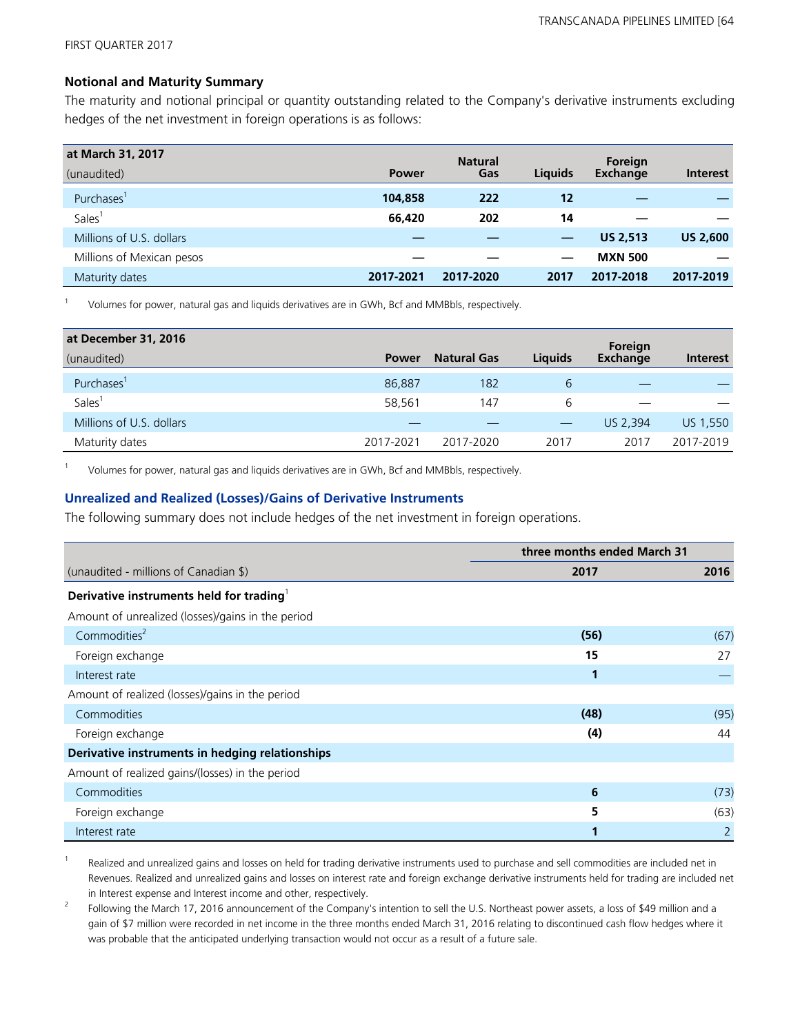### **Notional and Maturity Summary**

The maturity and notional principal or quantity outstanding related to the Company's derivative instruments excluding hedges of the net investment in foreign operations is as follows:

| at March 31, 2017         |              | <b>Natural</b> |         | Foreign         |                 |
|---------------------------|--------------|----------------|---------|-----------------|-----------------|
| (unaudited)               | <b>Power</b> | Gas            | Liquids | <b>Exchange</b> | <b>Interest</b> |
| Purchases <sup>1</sup>    | 104,858      | 222            | 12      |                 |                 |
| Sales <sup>1</sup>        | 66,420       | 202            | 14      |                 |                 |
| Millions of U.S. dollars  |              |                |         | <b>US 2.513</b> | <b>US 2,600</b> |
| Millions of Mexican pesos |              |                |         | <b>MXN 500</b>  |                 |
| Maturity dates            | 2017-2021    | 2017-2020      | 2017    | 2017-2018       | 2017-2019       |

1 Volumes for power, natural gas and liquids derivatives are in GWh, Bcf and MMBbls, respectively.

| at December 31, 2016     |              |                    |                | Foreign         |                 |
|--------------------------|--------------|--------------------|----------------|-----------------|-----------------|
| (unaudited)              | <b>Power</b> | <b>Natural Gas</b> | <b>Liquids</b> | <b>Exchange</b> | <b>Interest</b> |
| Purchases'               | 86,887       | 182                | 6              |                 |                 |
| <b>Sales</b>             | 58,561       | 147                | 6              |                 |                 |
| Millions of U.S. dollars |              |                    |                | US 2.394        | US 1,550        |
| Maturity dates           | 2017-2021    | 2017-2020          | 2017           | 2017            | 2017-2019       |

1 Volumes for power, natural gas and liquids derivatives are in GWh, Bcf and MMBbls, respectively.

### **Unrealized and Realized (Losses)/Gains of Derivative Instruments**

The following summary does not include hedges of the net investment in foreign operations.

|                                                      | three months ended March 31 |      |
|------------------------------------------------------|-----------------------------|------|
| (unaudited - millions of Canadian \$)                | 2017                        | 2016 |
| Derivative instruments held for trading <sup>1</sup> |                             |      |
| Amount of unrealized (losses)/gains in the period    |                             |      |
| Commodities <sup>2</sup>                             | (56)                        | (67) |
| Foreign exchange                                     | 15                          | 27   |
| Interest rate                                        | 1                           |      |
| Amount of realized (losses)/gains in the period      |                             |      |
| Commodities                                          | (48)                        | (95) |
| Foreign exchange                                     | (4)                         | 44   |
| Derivative instruments in hedging relationships      |                             |      |
| Amount of realized gains/(losses) in the period      |                             |      |
| Commodities                                          | 6                           | (73) |
| Foreign exchange                                     | 5                           | (63) |
| Interest rate                                        |                             | 2    |

1 Realized and unrealized gains and losses on held for trading derivative instruments used to purchase and sell commodities are included net in Revenues. Realized and unrealized gains and losses on interest rate and foreign exchange derivative instruments held for trading are included net in Interest expense and Interest income and other, respectively.

2 Following the March 17, 2016 announcement of the Company's intention to sell the U.S. Northeast power assets, a loss of \$49 million and a gain of \$7 million were recorded in net income in the three months ended March 31, 2016 relating to discontinued cash flow hedges where it was probable that the anticipated underlying transaction would not occur as a result of a future sale.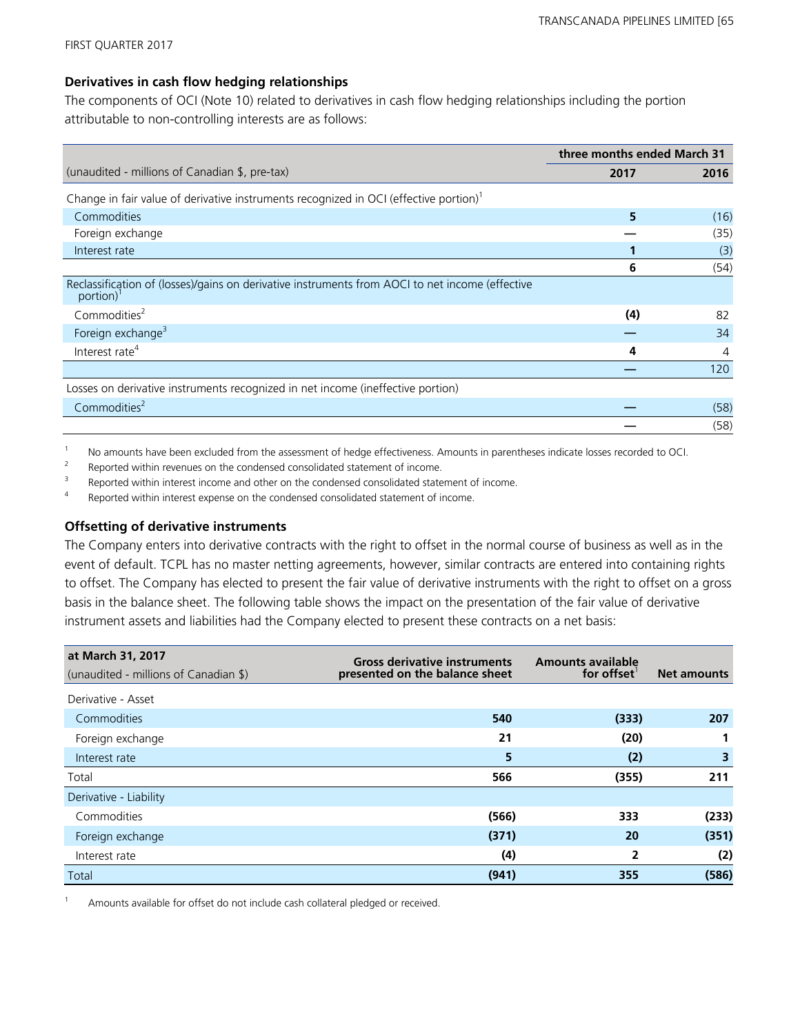### **Derivatives in cash flow hedging relationships**

The components of OCI (Note 10) related to derivatives in cash flow hedging relationships including the portion attributable to non-controlling interests are as follows:

|                                                                                                                          | three months ended March 31 |      |
|--------------------------------------------------------------------------------------------------------------------------|-----------------------------|------|
| (unaudited - millions of Canadian \$, pre-tax)                                                                           | 2017                        | 2016 |
| Change in fair value of derivative instruments recognized in OCI (effective portion) <sup>1</sup>                        |                             |      |
| Commodities                                                                                                              | 5                           | (16) |
| Foreign exchange                                                                                                         |                             | (35) |
| Interest rate                                                                                                            |                             | (3)  |
|                                                                                                                          | 6                           | (54) |
| Reclassification of (losses)/gains on derivative instruments from AOCI to net income (effective<br>portion) <sup>1</sup> |                             |      |
| Commodities <sup>2</sup>                                                                                                 | (4)                         | 82   |
| Foreign exchange <sup>3</sup>                                                                                            |                             | 34   |
| Interest rate <sup>4</sup>                                                                                               | 4                           | 4    |
|                                                                                                                          |                             | 120  |
| Losses on derivative instruments recognized in net income (ineffective portion)                                          |                             |      |
| Commodities <sup>2</sup>                                                                                                 |                             | (58) |
|                                                                                                                          |                             | (58) |

<sup>1</sup> No amounts have been excluded from the assessment of hedge effectiveness. Amounts in parentheses indicate losses recorded to OCI.

2 Reported within revenues on the condensed consolidated statement of income.

3 Reported within interest income and other on the condensed consolidated statement of income.

4 Reported within interest expense on the condensed consolidated statement of income.

### **Offsetting of derivative instruments**

The Company enters into derivative contracts with the right to offset in the normal course of business as well as in the event of default. TCPL has no master netting agreements, however, similar contracts are entered into containing rights to offset. The Company has elected to present the fair value of derivative instruments with the right to offset on a gross basis in the balance sheet. The following table shows the impact on the presentation of the fair value of derivative instrument assets and liabilities had the Company elected to present these contracts on a net basis:

| at March 31, 2017<br>(unaudited - millions of Canadian \$) | <b>Gross derivative instruments</b><br>presented on the balance sheet | <b>Amounts available</b><br>for offset | <b>Net amounts</b> |
|------------------------------------------------------------|-----------------------------------------------------------------------|----------------------------------------|--------------------|
| Derivative - Asset                                         |                                                                       |                                        |                    |
| Commodities                                                | 540                                                                   | (333)                                  | 207                |
| Foreign exchange                                           | 21                                                                    | (20)                                   |                    |
| Interest rate                                              | 5                                                                     | (2)                                    | 3                  |
| Total                                                      | 566                                                                   | (355)                                  | 211                |
| Derivative - Liability                                     |                                                                       |                                        |                    |
| Commodities                                                | (566)                                                                 | 333                                    | (233)              |
| Foreign exchange                                           | (371)                                                                 | 20                                     | (351)              |
| Interest rate                                              | (4)                                                                   | $\overline{2}$                         | (2)                |
| Total                                                      | (941)                                                                 | 355                                    | (586)              |

Amounts available for offset do not include cash collateral pledged or received.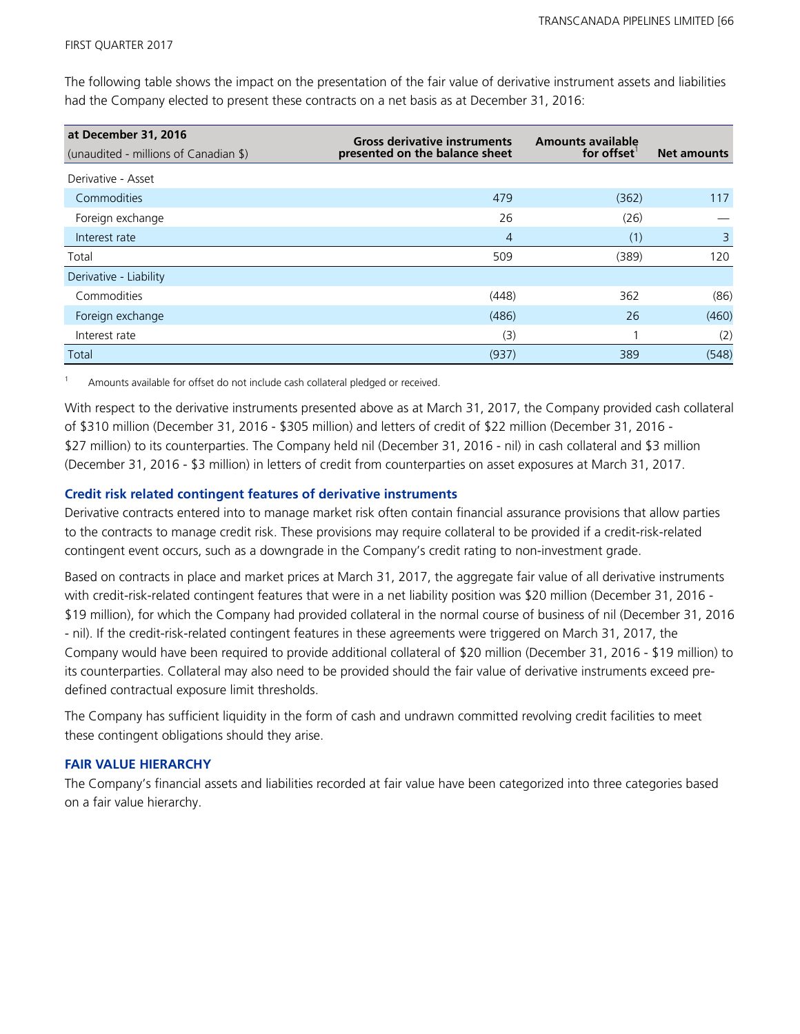The following table shows the impact on the presentation of the fair value of derivative instrument assets and liabilities had the Company elected to present these contracts on a net basis as at December 31, 2016:

| at December 31, 2016                  | <b>Gross derivative instruments</b> | <b>Amounts available</b> |                    |
|---------------------------------------|-------------------------------------|--------------------------|--------------------|
| (unaudited - millions of Canadian \$) | presented on the balance sheet      | for offset               | <b>Net amounts</b> |
| Derivative - Asset                    |                                     |                          |                    |
| Commodities                           | 479                                 | (362)                    | 117                |
| Foreign exchange                      | 26                                  | (26)                     |                    |
| Interest rate                         | $\overline{4}$                      | (1)                      | $\overline{3}$     |
| Total                                 | 509                                 | (389)                    | 120                |
| Derivative - Liability                |                                     |                          |                    |
| Commodities                           | (448)                               | 362                      | (86)               |
| Foreign exchange                      | (486)                               | 26                       | (460)              |
| Interest rate                         | (3)                                 |                          | (2)                |
| Total                                 | (937)                               | 389                      | (548)              |

Amounts available for offset do not include cash collateral pledged or received.

With respect to the derivative instruments presented above as at March 31, 2017, the Company provided cash collateral of \$310 million (December 31, 2016 - \$305 million) and letters of credit of \$22 million (December 31, 2016 - \$27 million) to its counterparties. The Company held nil (December 31, 2016 - nil) in cash collateral and \$3 million (December 31, 2016 - \$3 million) in letters of credit from counterparties on asset exposures at March 31, 2017.

### **Credit risk related contingent features of derivative instruments**

Derivative contracts entered into to manage market risk often contain financial assurance provisions that allow parties to the contracts to manage credit risk. These provisions may require collateral to be provided if a credit-risk-related contingent event occurs, such as a downgrade in the Company's credit rating to non-investment grade.

Based on contracts in place and market prices at March 31, 2017, the aggregate fair value of all derivative instruments with credit-risk-related contingent features that were in a net liability position was \$20 million (December 31, 2016 - \$19 million), for which the Company had provided collateral in the normal course of business of nil (December 31, 2016 - nil). If the credit-risk-related contingent features in these agreements were triggered on March 31, 2017, the Company would have been required to provide additional collateral of \$20 million (December 31, 2016 - \$19 million) to its counterparties. Collateral may also need to be provided should the fair value of derivative instruments exceed predefined contractual exposure limit thresholds.

The Company has sufficient liquidity in the form of cash and undrawn committed revolving credit facilities to meet these contingent obligations should they arise.

### **FAIR VALUE HIERARCHY**

The Company's financial assets and liabilities recorded at fair value have been categorized into three categories based on a fair value hierarchy.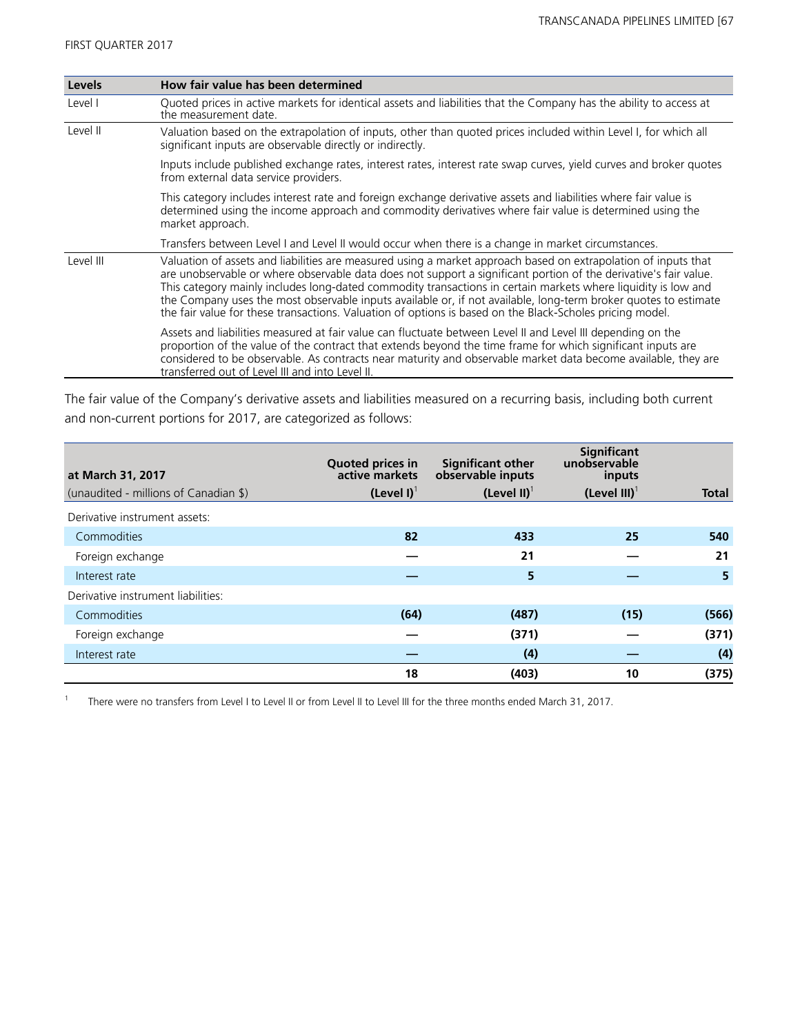| Levels    | How fair value has been determined                                                                                                                                                                                                                                                                                                                                                                                                                                                                                                                                                 |
|-----------|------------------------------------------------------------------------------------------------------------------------------------------------------------------------------------------------------------------------------------------------------------------------------------------------------------------------------------------------------------------------------------------------------------------------------------------------------------------------------------------------------------------------------------------------------------------------------------|
| Level I   | Quoted prices in active markets for identical assets and liabilities that the Company has the ability to access at<br>the measurement date.                                                                                                                                                                                                                                                                                                                                                                                                                                        |
| Level II  | Valuation based on the extrapolation of inputs, other than quoted prices included within Level I, for which all<br>significant inputs are observable directly or indirectly.                                                                                                                                                                                                                                                                                                                                                                                                       |
|           | Inputs include published exchange rates, interest rates, interest rate swap curves, yield curves and broker quotes<br>from external data service providers.                                                                                                                                                                                                                                                                                                                                                                                                                        |
|           | This category includes interest rate and foreign exchange derivative assets and liabilities where fair value is<br>determined using the income approach and commodity derivatives where fair value is determined using the<br>market approach.                                                                                                                                                                                                                                                                                                                                     |
|           | Transfers between Level I and Level II would occur when there is a change in market circumstances.                                                                                                                                                                                                                                                                                                                                                                                                                                                                                 |
| Level III | Valuation of assets and liabilities are measured using a market approach based on extrapolation of inputs that<br>are unobservable or where observable data does not support a significant portion of the derivative's fair value.<br>This category mainly includes long-dated commodity transactions in certain markets where liquidity is low and<br>the Company uses the most observable inputs available or, if not available, long-term broker quotes to estimate<br>the fair value for these transactions. Valuation of options is based on the Black-Scholes pricing model. |
|           | Assets and liabilities measured at fair value can fluctuate between Level II and Level III depending on the<br>proportion of the value of the contract that extends beyond the time frame for which significant inputs are<br>considered to be observable. As contracts near maturity and observable market data become available, they are<br>transferred out of Level III and into Level II.                                                                                                                                                                                     |

The fair value of the Company's derivative assets and liabilities measured on a recurring basis, including both current and non-current portions for 2017, are categorized as follows:

| at March 31, 2017                     | <b>Quoted prices in</b><br>active markets | <b>Significant other</b><br>observable inputs | <b>Significant</b><br>unobservable<br>inputs |              |
|---------------------------------------|-------------------------------------------|-----------------------------------------------|----------------------------------------------|--------------|
| (unaudited - millions of Canadian \$) | $(Level I)^T$                             | (Level II) $1$                                | (Level III) $1$                              | <b>Total</b> |
| Derivative instrument assets:         |                                           |                                               |                                              |              |
| Commodities                           | 82                                        | 433                                           | 25                                           | 540          |
| Foreign exchange                      |                                           | 21                                            |                                              | 21           |
| Interest rate                         |                                           | 5                                             |                                              | 5            |
| Derivative instrument liabilities:    |                                           |                                               |                                              |              |
| Commodities                           | (64)                                      | (487)                                         | (15)                                         | (566)        |
| Foreign exchange                      |                                           | (371)                                         |                                              | (371)        |
| Interest rate                         |                                           | (4)                                           |                                              | (4)          |
|                                       | 18                                        | (403)                                         | 10                                           | (375)        |

1 There were no transfers from Level I to Level II or from Level II to Level III for the three months ended March 31, 2017.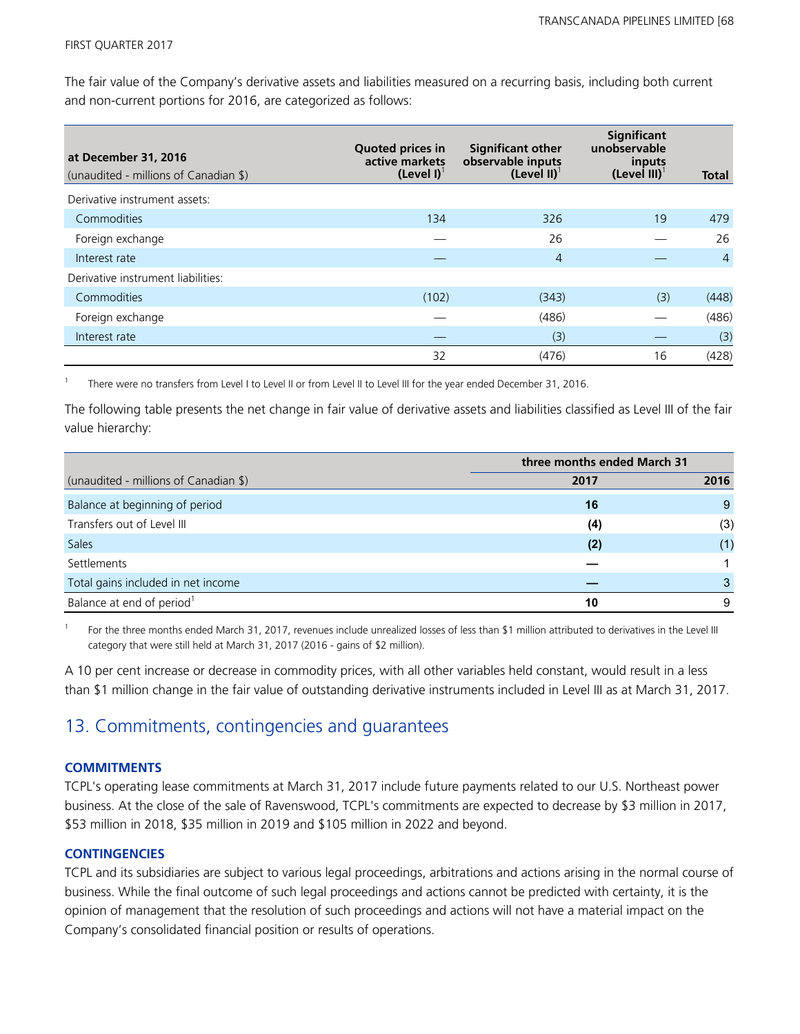The fair value of the Company's derivative assets and liabilities measured on a recurring basis, including both current and non-current portions for 2016, are categorized as follows:

| at December 31, 2016<br>(unaudited - millions of Canadian \$) | <b>Quoted prices in</b><br>active markets<br>(Level I) <sup>1</sup> | <b>Significant other</b><br>observable inputs<br>(Level II) <sup>1</sup> | <b>Significant</b><br>unobservable<br>inputs<br>$(Level III)^{T}$ | Total          |
|---------------------------------------------------------------|---------------------------------------------------------------------|--------------------------------------------------------------------------|-------------------------------------------------------------------|----------------|
| Derivative instrument assets:                                 |                                                                     |                                                                          |                                                                   |                |
| Commodities                                                   | 134                                                                 | 326                                                                      | 19                                                                | 479            |
| Foreign exchange                                              |                                                                     | 26                                                                       |                                                                   | 26             |
| Interest rate                                                 |                                                                     | $\overline{4}$                                                           |                                                                   | $\overline{4}$ |
| Derivative instrument liabilities:                            |                                                                     |                                                                          |                                                                   |                |
| Commodities                                                   | (102)                                                               | (343)                                                                    | (3)                                                               | (448)          |
| Foreign exchange                                              |                                                                     | (486)                                                                    |                                                                   | (486)          |
| Interest rate                                                 |                                                                     | (3)                                                                      |                                                                   | (3)            |
|                                                               | 32                                                                  | (476)                                                                    | 16                                                                | (428)          |

1 There were no transfers from Level I to Level II or from Level II to Level III for the year ended December 31, 2016.

The following table presents the net change in fair value of derivative assets and liabilities classified as Level III of the fair value hierarchy:

|                                       | three months ended March 31 |      |  |
|---------------------------------------|-----------------------------|------|--|
| (unaudited - millions of Canadian \$) | 2017                        | 2016 |  |
| Balance at beginning of period        | 16                          | 9    |  |
| Transfers out of Level III            | (4)                         | (3)  |  |
| <b>Sales</b>                          | (2)                         | (1)  |  |
| Settlements                           |                             |      |  |
| Total gains included in net income    |                             | 3    |  |
| Balance at end of period <sup>1</sup> | 10                          | 9    |  |

1 For the three months ended March 31, 2017, revenues include unrealized losses of less than \$1 million attributed to derivatives in the Level III category that were still held at March 31, 2017 (2016 - gains of \$2 million).

A 10 per cent increase or decrease in commodity prices, with all other variables held constant, would result in a less than \$1 million change in the fair value of outstanding derivative instruments included in Level III as at March 31, 2017.

### 13. Commitments, contingencies and guarantees

### **COMMITMENTS**

TCPL's operating lease commitments at March 31, 2017 include future payments related to our U.S. Northeast power business. At the close of the sale of Ravenswood, TCPL's commitments are expected to decrease by \$3 million in 2017, \$53 million in 2018, \$35 million in 2019 and \$105 million in 2022 and beyond.

### **CONTINGENCIES**

TCPL and its subsidiaries are subject to various legal proceedings, arbitrations and actions arising in the normal course of business. While the final outcome of such legal proceedings and actions cannot be predicted with certainty, it is the opinion of management that the resolution of such proceedings and actions will not have a material impact on the Company's consolidated financial position or results of operations.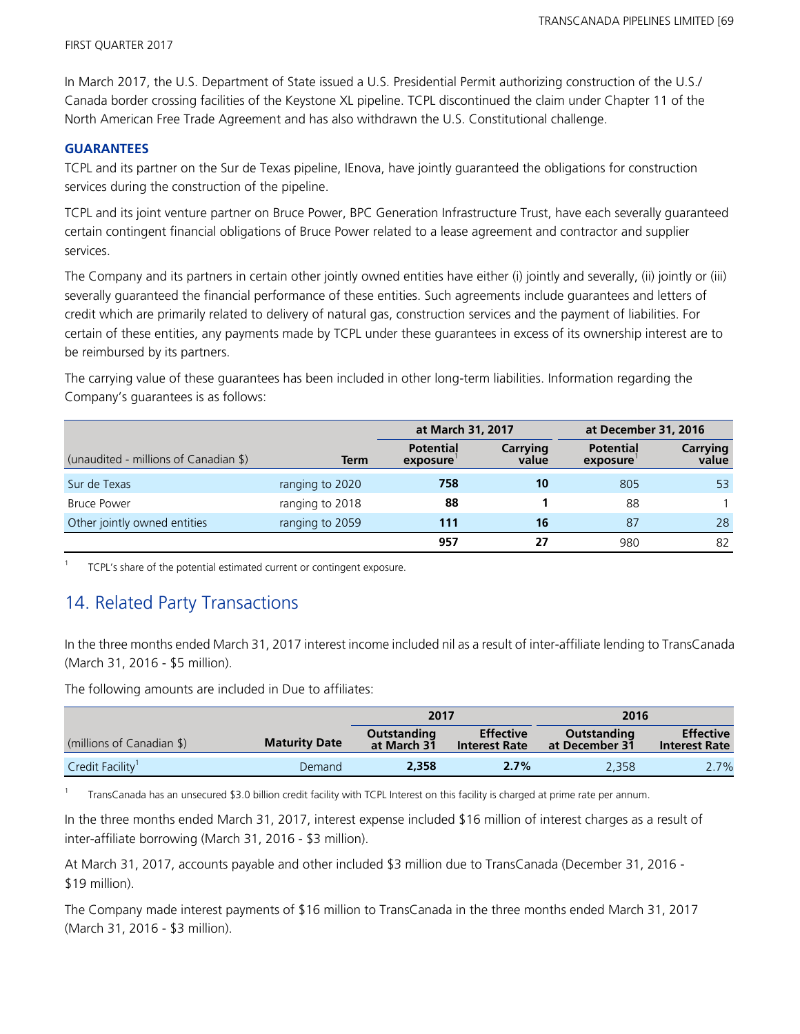In March 2017, the U.S. Department of State issued a U.S. Presidential Permit authorizing construction of the U.S./ Canada border crossing facilities of the Keystone XL pipeline. TCPL discontinued the claim under Chapter 11 of the North American Free Trade Agreement and has also withdrawn the U.S. Constitutional challenge.

### **GUARANTEES**

TCPL and its partner on the Sur de Texas pipeline, IEnova, have jointly guaranteed the obligations for construction services during the construction of the pipeline.

TCPL and its joint venture partner on Bruce Power, BPC Generation Infrastructure Trust, have each severally guaranteed certain contingent financial obligations of Bruce Power related to a lease agreement and contractor and supplier services.

The Company and its partners in certain other jointly owned entities have either (i) jointly and severally, (ii) jointly or (iii) severally guaranteed the financial performance of these entities. Such agreements include guarantees and letters of credit which are primarily related to delivery of natural gas, construction services and the payment of liabilities. For certain of these entities, any payments made by TCPL under these guarantees in excess of its ownership interest are to be reimbursed by its partners.

The carrying value of these guarantees has been included in other long-term liabilities. Information regarding the Company's guarantees is as follows:

|                                       |                 | at March 31, 2017            |                   | at December 31, 2016         |                          |
|---------------------------------------|-----------------|------------------------------|-------------------|------------------------------|--------------------------|
| (unaudited - millions of Canadian \$) | Term            | <b>Potential</b><br>exposure | Carrying<br>value | <b>Potential</b><br>exposure | <b>Carrying</b><br>value |
| Sur de Texas                          | ranging to 2020 | 758                          | 10                | 805                          | 53                       |
| <b>Bruce Power</b>                    | ranging to 2018 | 88                           |                   | 88                           |                          |
| Other jointly owned entities          | ranging to 2059 | 111                          | 16                | 87                           | 28                       |
|                                       |                 | 957                          | 27                | 980                          | 82                       |

1 TCPL's share of the potential estimated current or contingent exposure.

### 14. Related Party Transactions

In the three months ended March 31, 2017 interest income included nil as a result of inter-affiliate lending to TransCanada (March 31, 2016 - \$5 million).

The following amounts are included in Due to affiliates:

|                              |                      | 2017                       |                                          | 2016                          |                                          |
|------------------------------|----------------------|----------------------------|------------------------------------------|-------------------------------|------------------------------------------|
| (millions of Canadian \$)    | <b>Maturity Date</b> | Outstanding<br>at March 31 | <b>Effective</b><br><b>Interest Rate</b> | Outstanding<br>at December 31 | <b>Effective</b><br><b>Interest Rate</b> |
| Credit Facility <sup>1</sup> | Demand               | 2.358                      | 2.7%                                     | 2.358                         | 2.7%                                     |

1 TransCanada has an unsecured \$3.0 billion credit facility with TCPL Interest on this facility is charged at prime rate per annum.

In the three months ended March 31, 2017, interest expense included \$16 million of interest charges as a result of inter-affiliate borrowing (March 31, 2016 - \$3 million).

At March 31, 2017, accounts payable and other included \$3 million due to TransCanada (December 31, 2016 - \$19 million).

The Company made interest payments of \$16 million to TransCanada in the three months ended March 31, 2017 (March 31, 2016 - \$3 million).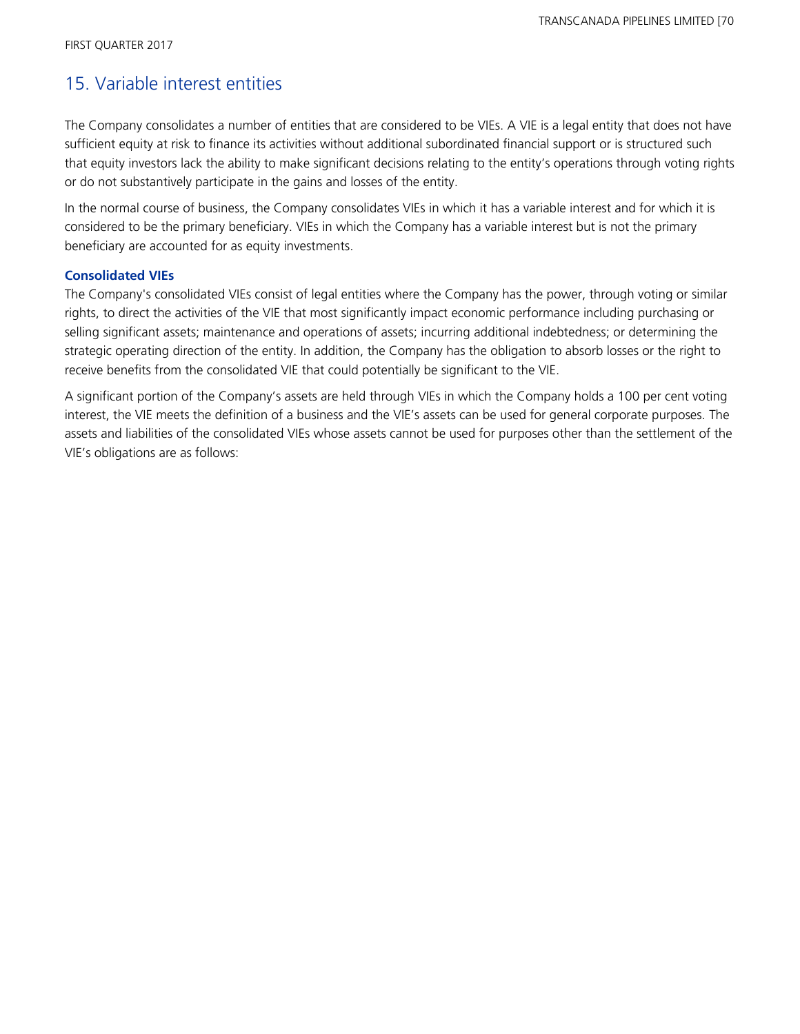### 15. Variable interest entities

The Company consolidates a number of entities that are considered to be VIEs. A VIE is a legal entity that does not have sufficient equity at risk to finance its activities without additional subordinated financial support or is structured such that equity investors lack the ability to make significant decisions relating to the entity's operations through voting rights or do not substantively participate in the gains and losses of the entity.

In the normal course of business, the Company consolidates VIEs in which it has a variable interest and for which it is considered to be the primary beneficiary. VIEs in which the Company has a variable interest but is not the primary beneficiary are accounted for as equity investments.

### **Consolidated VIEs**

The Company's consolidated VIEs consist of legal entities where the Company has the power, through voting or similar rights, to direct the activities of the VIE that most significantly impact economic performance including purchasing or selling significant assets; maintenance and operations of assets; incurring additional indebtedness; or determining the strategic operating direction of the entity. In addition, the Company has the obligation to absorb losses or the right to receive benefits from the consolidated VIE that could potentially be significant to the VIE.

A significant portion of the Company's assets are held through VIEs in which the Company holds a 100 per cent voting interest, the VIE meets the definition of a business and the VIE's assets can be used for general corporate purposes. The assets and liabilities of the consolidated VIEs whose assets cannot be used for purposes other than the settlement of the VIE's obligations are as follows: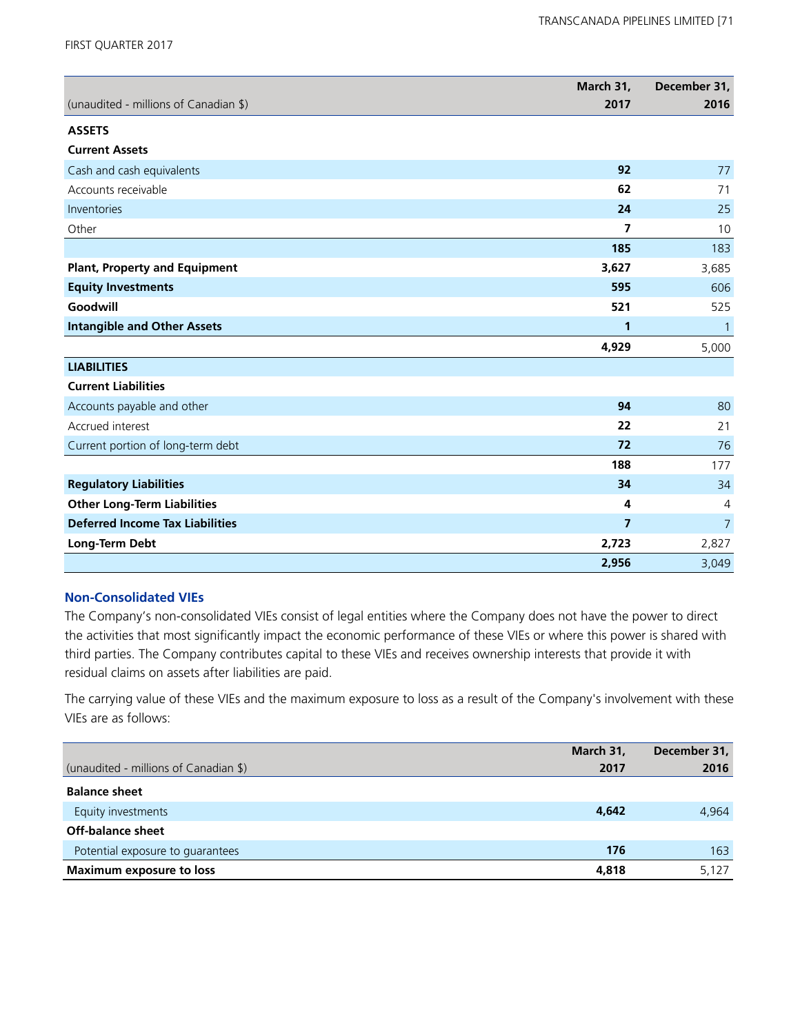FIRST QUARTER 2017

| (unaudited - millions of Canadian \$)  | March 31,<br>2017 | December 31,<br>2016 |
|----------------------------------------|-------------------|----------------------|
|                                        |                   |                      |
| <b>ASSETS</b>                          |                   |                      |
| <b>Current Assets</b>                  |                   |                      |
| Cash and cash equivalents              | 92                | 77                   |
| Accounts receivable                    | 62                | 71                   |
| Inventories                            | 24                | 25                   |
| Other                                  | 7                 | 10                   |
|                                        | 185               | 183                  |
| <b>Plant, Property and Equipment</b>   | 3,627             | 3,685                |
| <b>Equity Investments</b>              | 595               | 606                  |
| Goodwill                               | 521               | 525                  |
| <b>Intangible and Other Assets</b>     | 1                 | 1                    |
|                                        | 4,929             | 5,000                |
| <b>LIABILITIES</b>                     |                   |                      |
| <b>Current Liabilities</b>             |                   |                      |
| Accounts payable and other             | 94                | 80                   |
| Accrued interest                       | 22                | 21                   |
| Current portion of long-term debt      | 72                | 76                   |
|                                        | 188               | 177                  |
| <b>Regulatory Liabilities</b>          | 34                | 34                   |
| <b>Other Long-Term Liabilities</b>     | 4                 | $\overline{4}$       |
| <b>Deferred Income Tax Liabilities</b> | $\overline{7}$    | $\overline{7}$       |
| Long-Term Debt                         | 2,723             | 2,827                |
|                                        | 2,956             | 3,049                |

### **Non-Consolidated VIEs**

The Company's non-consolidated VIEs consist of legal entities where the Company does not have the power to direct the activities that most significantly impact the economic performance of these VIEs or where this power is shared with third parties. The Company contributes capital to these VIEs and receives ownership interests that provide it with residual claims on assets after liabilities are paid.

The carrying value of these VIEs and the maximum exposure to loss as a result of the Company's involvement with these VIEs are as follows:

| March 31,<br>(unaudited - millions of Canadian \$)<br>2017 | December 31,<br>2016 |
|------------------------------------------------------------|----------------------|
| <b>Balance sheet</b>                                       |                      |
| 4,642<br>Equity investments                                | 4.964                |
| Off-balance sheet                                          |                      |
| 176<br>Potential exposure to quarantees                    | 163                  |
| <b>Maximum exposure to loss</b><br>4,818                   | 5,127                |